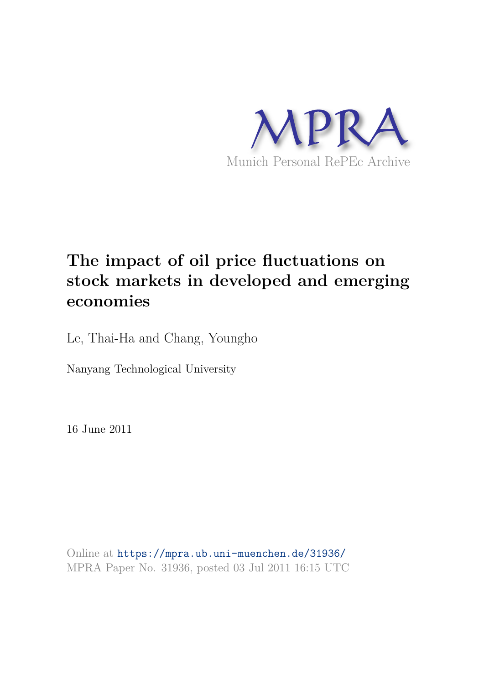

# **The impact of oil price fluctuations on stock markets in developed and emerging economies**

Le, Thai-Ha and Chang, Youngho

Nanyang Technological University

16 June 2011

Online at https://mpra.ub.uni-muenchen.de/31936/ MPRA Paper No. 31936, posted 03 Jul 2011 16:15 UTC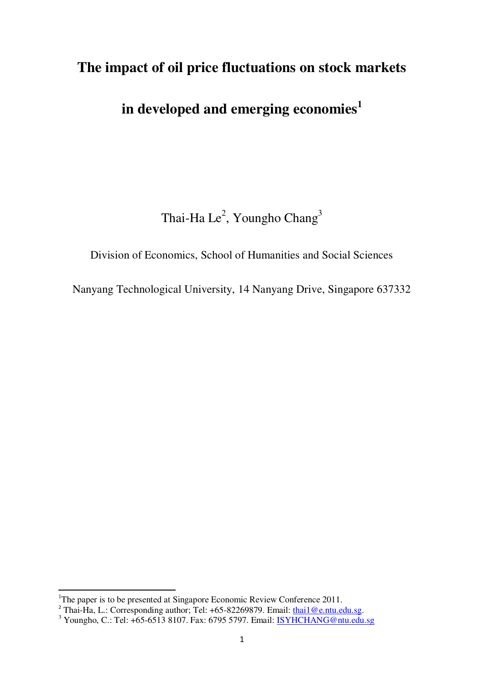# **The impact of oil price fluctuations on stock markets**

# **in developed and emerging economies<sup>1</sup>**

Thai-Ha Le $^2$ , Youngho Chang $^3$ 

# Division of Economics, School of Humanities and Social Sciences

Nanyang Technological University, 14 Nanyang Drive, Singapore 637332

 $\overline{a}$ 

<sup>&</sup>lt;sup>1</sup>The paper is to be presented at Singapore Economic Review Conference 2011.

<sup>&</sup>lt;sup>2</sup> Thai-Ha, L.: Corresponding author; Tel: +65-82269879. Email: [thai1@e.ntu.edu.sg.](mailto:thai1@e.ntu.edu.sg)

<sup>&</sup>lt;sup>3</sup> Youngho, C.: Tel: +65-6513 8107. Fax: 6795 5797. Email: **ISYHCHANG@ntu.edu.sg**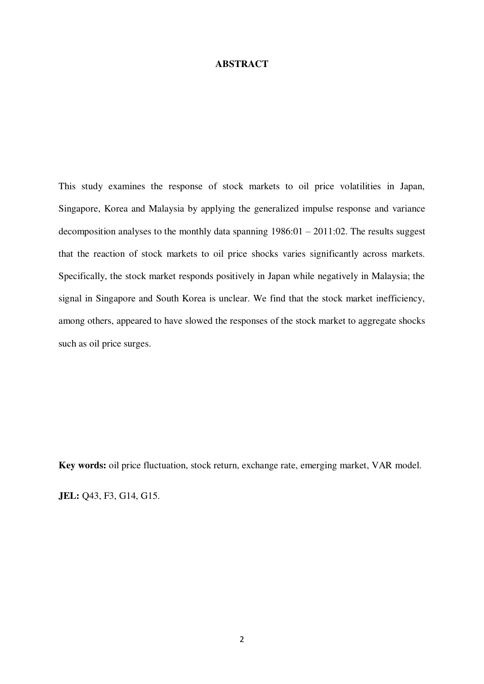#### **ABSTRACT**

This study examines the response of stock markets to oil price volatilities in Japan, Singapore, Korea and Malaysia by applying the generalized impulse response and variance decomposition analyses to the monthly data spanning  $1986:01 - 2011:02$ . The results suggest that the reaction of stock markets to oil price shocks varies significantly across markets. Specifically, the stock market responds positively in Japan while negatively in Malaysia; the signal in Singapore and South Korea is unclear. We find that the stock market inefficiency, among others, appeared to have slowed the responses of the stock market to aggregate shocks such as oil price surges.

**Key words:** oil price fluctuation, stock return, exchange rate, emerging market, VAR model. **JEL:** Q43, F3, G14, G15.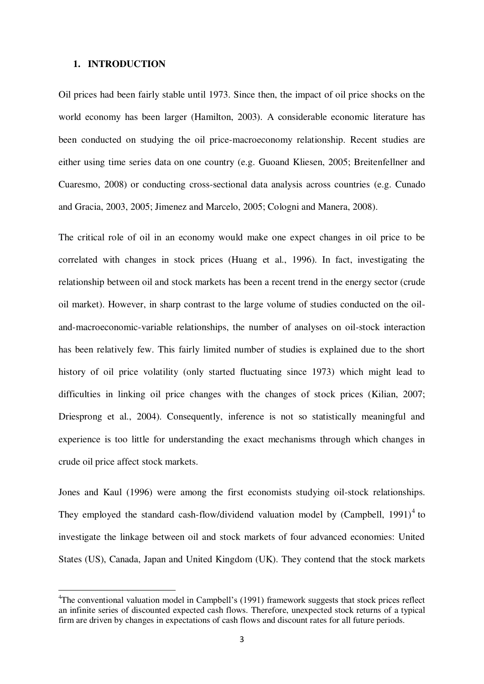#### **1. INTRODUCTION**

l,

Oil prices had been fairly stable until 1973. Since then, the impact of oil price shocks on the world economy has been larger (Hamilton, 2003). A considerable economic literature has been conducted on studying the oil price-macroeconomy relationship. Recent studies are either using time series data on one country (e.g. Guoand Kliesen, 2005; Breitenfellner and Cuaresmo, 2008) or conducting cross-sectional data analysis across countries (e.g. Cunado and Gracia, 2003, 2005; Jimenez and Marcelo, 2005; Cologni and Manera, 2008).

The critical role of oil in an economy would make one expect changes in oil price to be correlated with changes in stock prices (Huang et al., 1996). In fact, investigating the relationship between oil and stock markets has been a recent trend in the energy sector (crude oil market). However, in sharp contrast to the large volume of studies conducted on the oiland-macroeconomic-variable relationships, the number of analyses on oil-stock interaction has been relatively few. This fairly limited number of studies is explained due to the short history of oil price volatility (only started fluctuating since 1973) which might lead to difficulties in linking oil price changes with the changes of stock prices (Kilian, 2007; Driesprong et al., 2004). Consequently, inference is not so statistically meaningful and experience is too little for understanding the exact mechanisms through which changes in crude oil price affect stock markets.

Jones and Kaul (1996) were among the first economists studying oil-stock relationships. They employed the standard cash-flow/dividend valuation model by  $(Campbell, 1991)^4$  to investigate the linkage between oil and stock markets of four advanced economies: United States (US), Canada, Japan and United Kingdom (UK). They contend that the stock markets

<sup>&</sup>lt;sup>4</sup>The conventional valuation model in Campbell's (1991) framework suggests that stock prices reflect an infinite series of discounted expected cash flows. Therefore, unexpected stock returns of a typical firm are driven by changes in expectations of cash flows and discount rates for all future periods.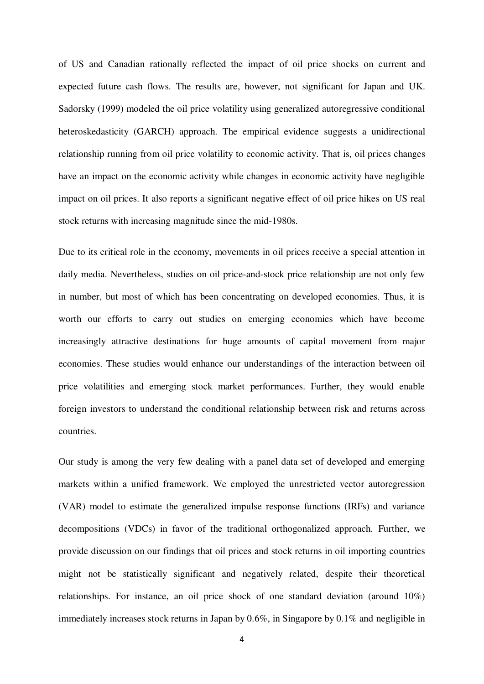of US and Canadian rationally reflected the impact of oil price shocks on current and expected future cash flows. The results are, however, not significant for Japan and UK. Sadorsky (1999) modeled the oil price volatility using generalized autoregressive conditional heteroskedasticity (GARCH) approach. The empirical evidence suggests a unidirectional relationship running from oil price volatility to economic activity. That is, oil prices changes have an impact on the economic activity while changes in economic activity have negligible impact on oil prices. It also reports a significant negative effect of oil price hikes on US real stock returns with increasing magnitude since the mid-1980s.

Due to its critical role in the economy, movements in oil prices receive a special attention in daily media. Nevertheless, studies on oil price-and-stock price relationship are not only few in number, but most of which has been concentrating on developed economies. Thus, it is worth our efforts to carry out studies on emerging economies which have become increasingly attractive destinations for huge amounts of capital movement from major economies. These studies would enhance our understandings of the interaction between oil price volatilities and emerging stock market performances. Further, they would enable foreign investors to understand the conditional relationship between risk and returns across countries.

Our study is among the very few dealing with a panel data set of developed and emerging markets within a unified framework. We employed the unrestricted vector autoregression (VAR) model to estimate the generalized impulse response functions (IRFs) and variance decompositions (VDCs) in favor of the traditional orthogonalized approach. Further, we provide discussion on our findings that oil prices and stock returns in oil importing countries might not be statistically significant and negatively related, despite their theoretical relationships. For instance, an oil price shock of one standard deviation (around 10%) immediately increases stock returns in Japan by 0.6%, in Singapore by 0.1% and negligible in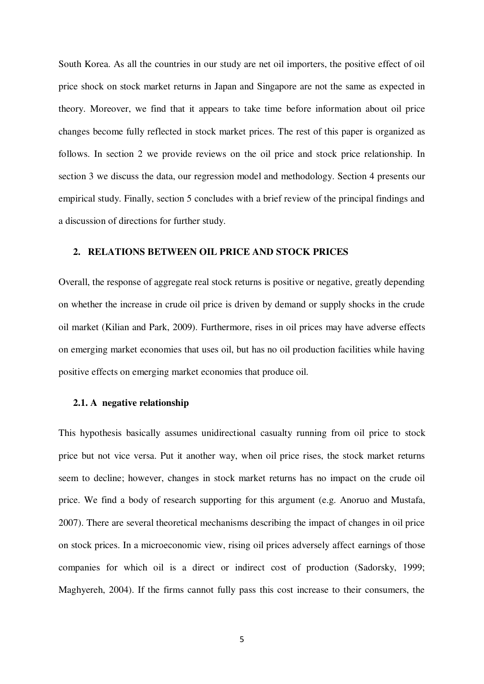South Korea. As all the countries in our study are net oil importers, the positive effect of oil price shock on stock market returns in Japan and Singapore are not the same as expected in theory. Moreover, we find that it appears to take time before information about oil price changes become fully reflected in stock market prices. The rest of this paper is organized as follows. In section 2 we provide reviews on the oil price and stock price relationship. In section 3 we discuss the data, our regression model and methodology. Section 4 presents our empirical study. Finally, section 5 concludes with a brief review of the principal findings and a discussion of directions for further study.

#### **2. RELATIONS BETWEEN OIL PRICE AND STOCK PRICES**

Overall, the response of aggregate real stock returns is positive or negative, greatly depending on whether the increase in crude oil price is driven by demand or supply shocks in the crude oil market (Kilian and Park, 2009). Furthermore, rises in oil prices may have adverse effects on emerging market economies that uses oil, but has no oil production facilities while having positive effects on emerging market economies that produce oil.

#### **2.1. A negative relationship**

This hypothesis basically assumes unidirectional casualty running from oil price to stock price but not vice versa. Put it another way, when oil price rises, the stock market returns seem to decline; however, changes in stock market returns has no impact on the crude oil price. We find a body of research supporting for this argument (e.g. Anoruo and Mustafa, 2007). There are several theoretical mechanisms describing the impact of changes in oil price on stock prices. In a microeconomic view, rising oil prices adversely affect earnings of those companies for which oil is a direct or indirect cost of production (Sadorsky, 1999; Maghyereh, 2004). If the firms cannot fully pass this cost increase to their consumers, the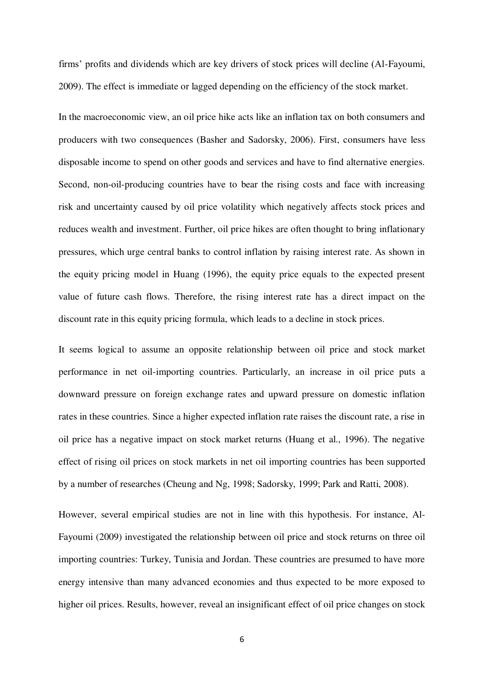firms' profits and dividends which are key drivers of stock prices will decline (Al-Fayoumi, 2009). The effect is immediate or lagged depending on the efficiency of the stock market.

In the macroeconomic view, an oil price hike acts like an inflation tax on both consumers and producers with two consequences (Basher and Sadorsky, 2006). First, consumers have less disposable income to spend on other goods and services and have to find alternative energies. Second, non-oil-producing countries have to bear the rising costs and face with increasing risk and uncertainty caused by oil price volatility which negatively affects stock prices and reduces wealth and investment. Further, oil price hikes are often thought to bring inflationary pressures, which urge central banks to control inflation by raising interest rate. As shown in the equity pricing model in Huang (1996), the equity price equals to the expected present value of future cash flows. Therefore, the rising interest rate has a direct impact on the discount rate in this equity pricing formula, which leads to a decline in stock prices.

It seems logical to assume an opposite relationship between oil price and stock market performance in net oil-importing countries. Particularly, an increase in oil price puts a downward pressure on foreign exchange rates and upward pressure on domestic inflation rates in these countries. Since a higher expected inflation rate raises the discount rate, a rise in oil price has a negative impact on stock market returns (Huang et al., 1996). The negative effect of rising oil prices on stock markets in net oil importing countries has been supported by a number of researches (Cheung and Ng, 1998; Sadorsky, 1999; Park and Ratti, 2008).

However, several empirical studies are not in line with this hypothesis. For instance, Al-Fayoumi (2009) investigated the relationship between oil price and stock returns on three oil importing countries: Turkey, Tunisia and Jordan. These countries are presumed to have more energy intensive than many advanced economies and thus expected to be more exposed to higher oil prices. Results, however, reveal an insignificant effect of oil price changes on stock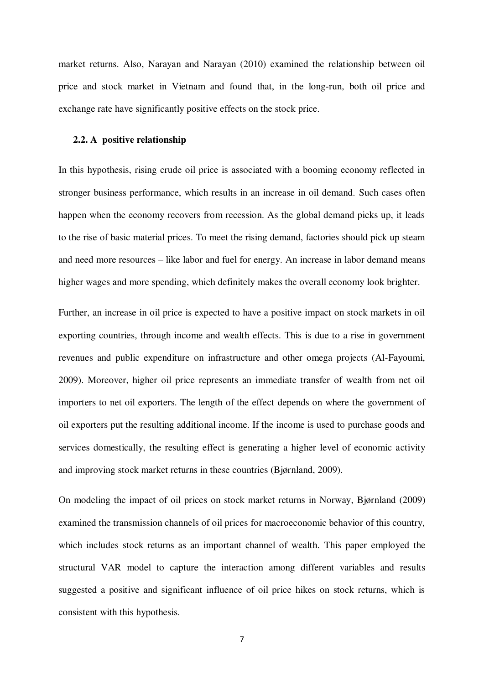market returns. Also, Narayan and Narayan (2010) examined the relationship between oil price and stock market in Vietnam and found that, in the long-run, both oil price and exchange rate have significantly positive effects on the stock price.

#### **2.2. A positive relationship**

In this hypothesis, rising crude oil price is associated with a booming economy reflected in stronger business performance, which results in an increase in oil demand. Such cases often happen when the economy recovers from recession. As the global demand picks up, it leads to the rise of basic material prices. To meet the rising demand, factories should pick up steam and need more resources – like labor and fuel for energy. An increase in labor demand means higher wages and more spending, which definitely makes the overall economy look brighter.

Further, an increase in oil price is expected to have a positive impact on stock markets in oil exporting countries, through income and wealth effects. This is due to a rise in government revenues and public expenditure on infrastructure and other omega projects (Al-Fayoumi, 2009). Moreover, higher oil price represents an immediate transfer of wealth from net oil importers to net oil exporters. The length of the effect depends on where the government of oil exporters put the resulting additional income. If the income is used to purchase goods and services domestically, the resulting effect is generating a higher level of economic activity and improving stock market returns in these countries (Bjørnland, 2009).

On modeling the impact of oil prices on stock market returns in Norway, Bjørnland (2009) examined the transmission channels of oil prices for macroeconomic behavior of this country, which includes stock returns as an important channel of wealth. This paper employed the structural VAR model to capture the interaction among different variables and results suggested a positive and significant influence of oil price hikes on stock returns, which is consistent with this hypothesis.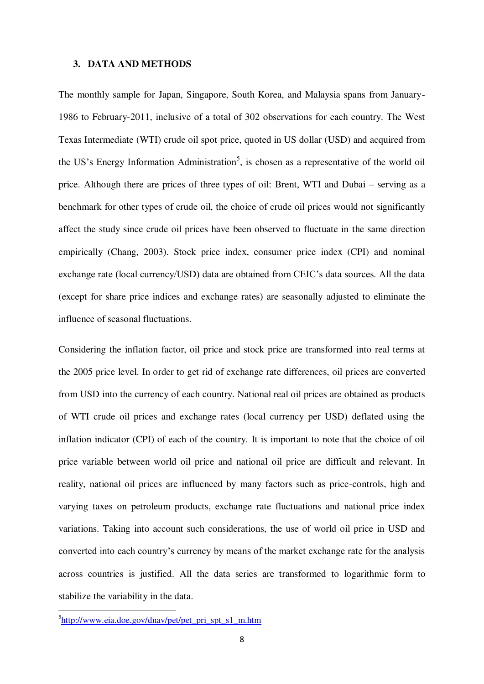#### **3. DATA AND METHODS**

The monthly sample for Japan, Singapore, South Korea, and Malaysia spans from January-1986 to February-2011, inclusive of a total of 302 observations for each country. The West Texas Intermediate (WTI) crude oil spot price, quoted in US dollar (USD) and acquired from the US's Energy Information Administration<sup>5</sup>, is chosen as a representative of the world oil price. Although there are prices of three types of oil: Brent, WTI and Dubai – serving as a benchmark for other types of crude oil, the choice of crude oil prices would not significantly affect the study since crude oil prices have been observed to fluctuate in the same direction empirically (Chang, 2003). Stock price index, consumer price index (CPI) and nominal exchange rate (local currency/USD) data are obtained from CEIC's data sources. All the data (except for share price indices and exchange rates) are seasonally adjusted to eliminate the influence of seasonal fluctuations.

Considering the inflation factor, oil price and stock price are transformed into real terms at the 2005 price level. In order to get rid of exchange rate differences, oil prices are converted from USD into the currency of each country. National real oil prices are obtained as products of WTI crude oil prices and exchange rates (local currency per USD) deflated using the inflation indicator (CPI) of each of the country. It is important to note that the choice of oil price variable between world oil price and national oil price are difficult and relevant. In reality, national oil prices are influenced by many factors such as price-controls, high and varying taxes on petroleum products, exchange rate fluctuations and national price index variations. Taking into account such considerations, the use of world oil price in USD and converted into each country's currency by means of the market exchange rate for the analysis across countries is justified. All the data series are transformed to logarithmic form to stabilize the variability in the data.

 $\overline{a}$ 

<sup>&</sup>lt;sup>5</sup>[http://www.eia.doe.gov/dnav/pet/pet\\_pri\\_spt\\_s1\\_m.htm](http://www.eia.doe.gov/dnav/pet/pet_pri_spt_s1_m.htm)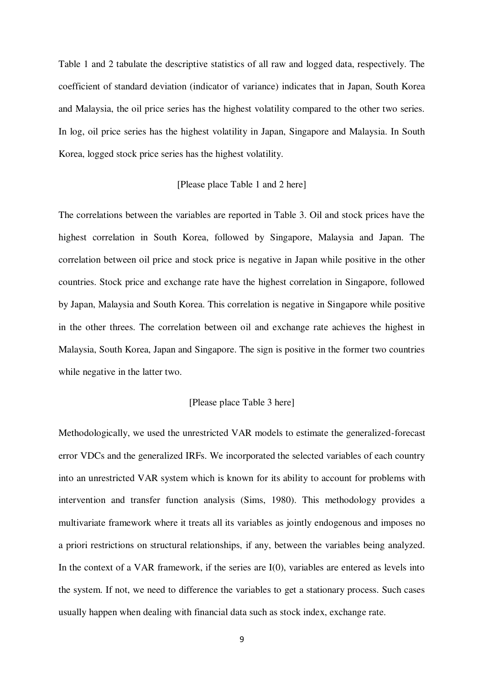Table 1 and 2 tabulate the descriptive statistics of all raw and logged data, respectively. The coefficient of standard deviation (indicator of variance) indicates that in Japan, South Korea and Malaysia, the oil price series has the highest volatility compared to the other two series. In log, oil price series has the highest volatility in Japan, Singapore and Malaysia. In South Korea, logged stock price series has the highest volatility.

#### [Please place Table 1 and 2 here]

The correlations between the variables are reported in Table 3. Oil and stock prices have the highest correlation in South Korea, followed by Singapore, Malaysia and Japan. The correlation between oil price and stock price is negative in Japan while positive in the other countries. Stock price and exchange rate have the highest correlation in Singapore, followed by Japan, Malaysia and South Korea. This correlation is negative in Singapore while positive in the other threes. The correlation between oil and exchange rate achieves the highest in Malaysia, South Korea, Japan and Singapore. The sign is positive in the former two countries while negative in the latter two.

#### [Please place Table 3 here]

Methodologically, we used the unrestricted VAR models to estimate the generalized-forecast error VDCs and the generalized IRFs. We incorporated the selected variables of each country into an unrestricted VAR system which is known for its ability to account for problems with intervention and transfer function analysis (Sims, 1980). This methodology provides a multivariate framework where it treats all its variables as jointly endogenous and imposes no a priori restrictions on structural relationships, if any, between the variables being analyzed. In the context of a VAR framework, if the series are I(0), variables are entered as levels into the system. If not, we need to difference the variables to get a stationary process. Such cases usually happen when dealing with financial data such as stock index, exchange rate.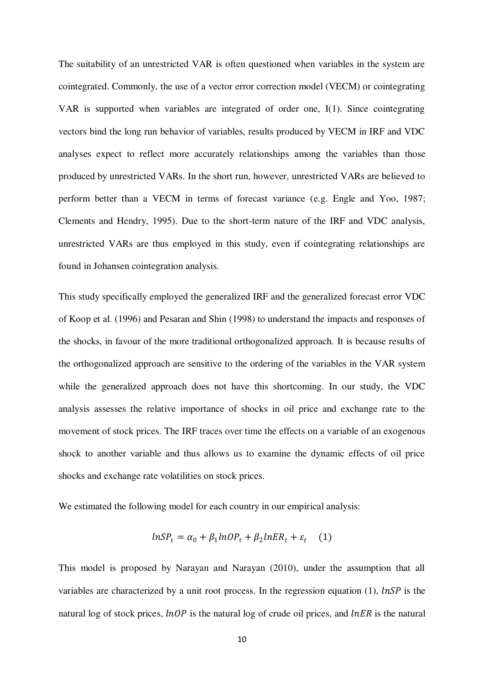The suitability of an unrestricted VAR is often questioned when variables in the system are cointegrated. Commonly, the use of a vector error correction model (VECM) or cointegrating VAR is supported when variables are integrated of order one, I(1). Since cointegrating vectors bind the long run behavior of variables, results produced by VECM in IRF and VDC analyses expect to reflect more accurately relationships among the variables than those produced by unrestricted VARs. In the short run, however, unrestricted VARs are believed to perform better than a VECM in terms of forecast variance (e.g. Engle and Yoo, 1987; Clements and Hendry, 1995). Due to the short-term nature of the IRF and VDC analysis, unrestricted VARs are thus employed in this study, even if cointegrating relationships are found in Johansen cointegration analysis.

This study specifically employed the generalized IRF and the generalized forecast error VDC of Koop et al. (1996) and Pesaran and Shin (1998) to understand the impacts and responses of the shocks, in favour of the more traditional orthogonalized approach. It is because results of the orthogonalized approach are sensitive to the ordering of the variables in the VAR system while the generalized approach does not have this shortcoming. In our study, the VDC analysis assesses the relative importance of shocks in oil price and exchange rate to the movement of stock prices. The IRF traces over time the effects on a variable of an exogenous shock to another variable and thus allows us to examine the dynamic effects of oil price shocks and exchange rate volatilities on stock prices.

We estimated the following model for each country in our empirical analysis:

$$
lnSP_t = \alpha_0 + \beta_1 lnOP_t + \beta_2 lnER_t + \varepsilon_t \quad (1)
$$

This model is proposed by Narayan and Narayan (2010), under the assumption that all variables are characterized by a unit root process. In the regression equation (1),  $lnSP$  is the natural log of stock prices,  $lnOP$  is the natural log of crude oil prices, and  $lnER$  is the natural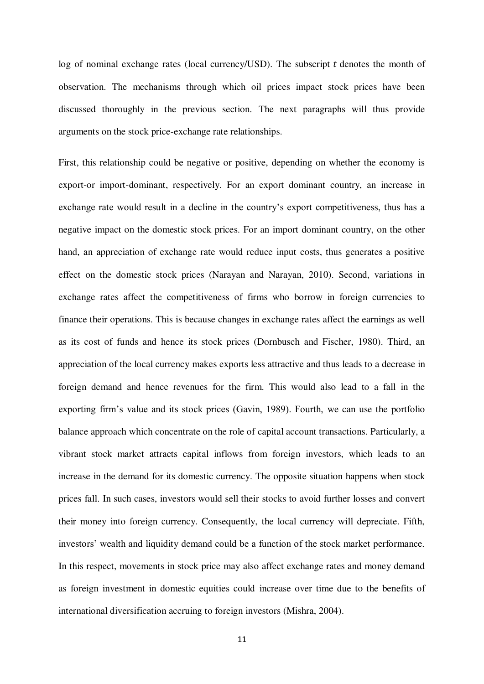log of nominal exchange rates (local currency/USD). The subscript  $t$  denotes the month of observation. The mechanisms through which oil prices impact stock prices have been discussed thoroughly in the previous section. The next paragraphs will thus provide arguments on the stock price-exchange rate relationships.

First, this relationship could be negative or positive, depending on whether the economy is export-or import-dominant, respectively. For an export dominant country, an increase in exchange rate would result in a decline in the country's export competitiveness, thus has a negative impact on the domestic stock prices. For an import dominant country, on the other hand, an appreciation of exchange rate would reduce input costs, thus generates a positive effect on the domestic stock prices (Narayan and Narayan, 2010). Second, variations in exchange rates affect the competitiveness of firms who borrow in foreign currencies to finance their operations. This is because changes in exchange rates affect the earnings as well as its cost of funds and hence its stock prices (Dornbusch and Fischer, 1980). Third, an appreciation of the local currency makes exports less attractive and thus leads to a decrease in foreign demand and hence revenues for the firm. This would also lead to a fall in the exporting firm's value and its stock prices (Gavin, 1989). Fourth, we can use the portfolio balance approach which concentrate on the role of capital account transactions. Particularly, a vibrant stock market attracts capital inflows from foreign investors, which leads to an increase in the demand for its domestic currency. The opposite situation happens when stock prices fall. In such cases, investors would sell their stocks to avoid further losses and convert their money into foreign currency. Consequently, the local currency will depreciate. Fifth, investors' wealth and liquidity demand could be a function of the stock market performance. In this respect, movements in stock price may also affect exchange rates and money demand as foreign investment in domestic equities could increase over time due to the benefits of international diversification accruing to foreign investors (Mishra, 2004).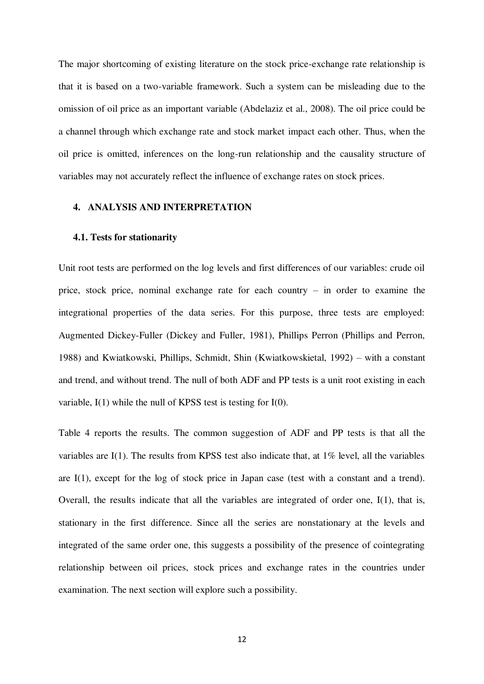The major shortcoming of existing literature on the stock price-exchange rate relationship is that it is based on a two-variable framework. Such a system can be misleading due to the omission of oil price as an important variable (Abdelaziz et al., 2008). The oil price could be a channel through which exchange rate and stock market impact each other. Thus, when the oil price is omitted, inferences on the long-run relationship and the causality structure of variables may not accurately reflect the influence of exchange rates on stock prices.

#### **4. ANALYSIS AND INTERPRETATION**

#### **4.1. Tests for stationarity**

Unit root tests are performed on the log levels and first differences of our variables: crude oil price, stock price, nominal exchange rate for each country – in order to examine the integrational properties of the data series. For this purpose, three tests are employed: Augmented Dickey-Fuller (Dickey and Fuller, 1981), Phillips Perron (Phillips and Perron, 1988) and Kwiatkowski, Phillips, Schmidt, Shin (Kwiatkowskietal, 1992) – with a constant and trend, and without trend. The null of both ADF and PP tests is a unit root existing in each variable, I(1) while the null of KPSS test is testing for I(0).

Table 4 reports the results. The common suggestion of ADF and PP tests is that all the variables are I(1). The results from KPSS test also indicate that, at 1% level, all the variables are I(1), except for the log of stock price in Japan case (test with a constant and a trend). Overall, the results indicate that all the variables are integrated of order one, I(1), that is, stationary in the first difference. Since all the series are nonstationary at the levels and integrated of the same order one, this suggests a possibility of the presence of cointegrating relationship between oil prices, stock prices and exchange rates in the countries under examination. The next section will explore such a possibility.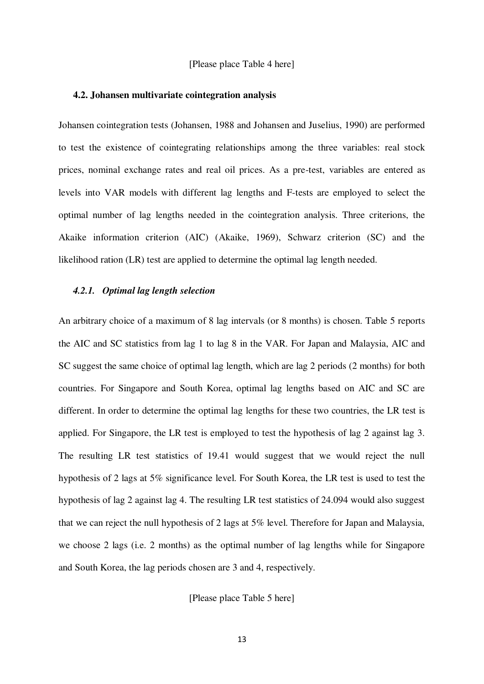#### [Please place Table 4 here]

#### **4.2. Johansen multivariate cointegration analysis**

Johansen cointegration tests (Johansen, 1988 and Johansen and Juselius, 1990) are performed to test the existence of cointegrating relationships among the three variables: real stock prices, nominal exchange rates and real oil prices. As a pre-test, variables are entered as levels into VAR models with different lag lengths and F-tests are employed to select the optimal number of lag lengths needed in the cointegration analysis. Three criterions, the Akaike information criterion (AIC) (Akaike, 1969), Schwarz criterion (SC) and the likelihood ration (LR) test are applied to determine the optimal lag length needed.

#### *4.2.1. Optimal lag length selection*

An arbitrary choice of a maximum of 8 lag intervals (or 8 months) is chosen. Table 5 reports the AIC and SC statistics from lag 1 to lag 8 in the VAR. For Japan and Malaysia, AIC and SC suggest the same choice of optimal lag length, which are lag 2 periods (2 months) for both countries. For Singapore and South Korea, optimal lag lengths based on AIC and SC are different. In order to determine the optimal lag lengths for these two countries, the LR test is applied. For Singapore, the LR test is employed to test the hypothesis of lag 2 against lag 3. The resulting LR test statistics of 19.41 would suggest that we would reject the null hypothesis of 2 lags at 5% significance level. For South Korea, the LR test is used to test the hypothesis of lag 2 against lag 4. The resulting LR test statistics of 24.094 would also suggest that we can reject the null hypothesis of 2 lags at 5% level. Therefore for Japan and Malaysia, we choose 2 lags (i.e. 2 months) as the optimal number of lag lengths while for Singapore and South Korea, the lag periods chosen are 3 and 4, respectively.

[Please place Table 5 here]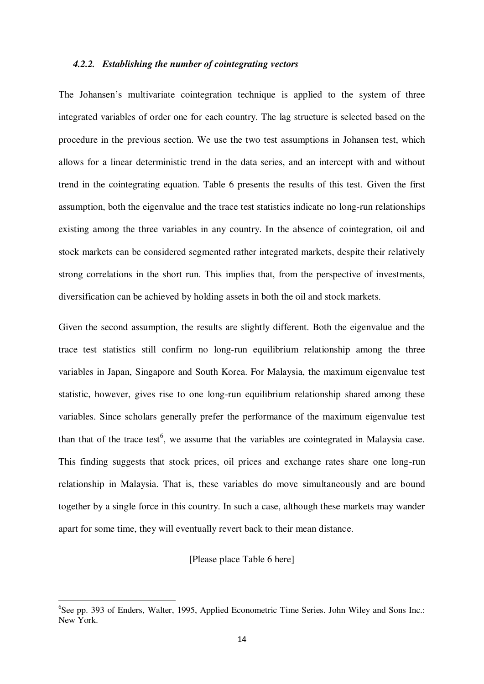#### *4.2.2. Establishing the number of cointegrating vectors*

The Johansen's multivariate cointegration technique is applied to the system of three integrated variables of order one for each country. The lag structure is selected based on the procedure in the previous section. We use the two test assumptions in Johansen test, which allows for a linear deterministic trend in the data series, and an intercept with and without trend in the cointegrating equation. Table 6 presents the results of this test. Given the first assumption, both the eigenvalue and the trace test statistics indicate no long-run relationships existing among the three variables in any country. In the absence of cointegration, oil and stock markets can be considered segmented rather integrated markets, despite their relatively strong correlations in the short run. This implies that, from the perspective of investments, diversification can be achieved by holding assets in both the oil and stock markets.

Given the second assumption, the results are slightly different. Both the eigenvalue and the trace test statistics still confirm no long-run equilibrium relationship among the three variables in Japan, Singapore and South Korea. For Malaysia, the maximum eigenvalue test statistic, however, gives rise to one long-run equilibrium relationship shared among these variables. Since scholars generally prefer the performance of the maximum eigenvalue test than that of the trace test<sup>6</sup>, we assume that the variables are cointegrated in Malaysia case. This finding suggests that stock prices, oil prices and exchange rates share one long-run relationship in Malaysia. That is, these variables do move simultaneously and are bound together by a single force in this country. In such a case, although these markets may wander apart for some time, they will eventually revert back to their mean distance.

#### [Please place Table 6 here]

 $\overline{a}$ 

<sup>&</sup>lt;sup>6</sup>See pp. 393 of Enders, Walter, 1995, Applied Econometric Time Series. John Wiley and Sons Inc.: New York.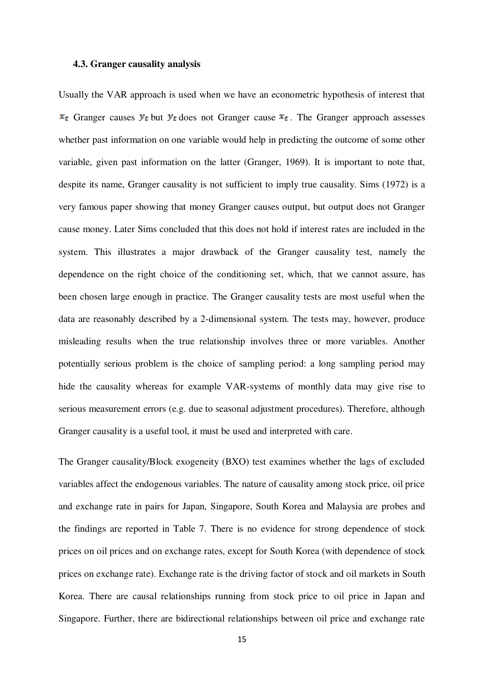#### **4.3. Granger causality analysis**

Usually the VAR approach is used when we have an econometric hypothesis of interest that  $x_t$  Granger causes  $y_t$  but  $y_t$  does not Granger cause  $x_t$ . The Granger approach assesses whether past information on one variable would help in predicting the outcome of some other variable, given past information on the latter (Granger, 1969). It is important to note that, despite its name, Granger causality is not sufficient to imply true causality. Sims (1972) is a very famous paper showing that money Granger causes output, but output does not Granger cause money. Later Sims concluded that this does not hold if interest rates are included in the system. This illustrates a major drawback of the Granger causality test, namely the dependence on the right choice of the conditioning set, which, that we cannot assure, has been chosen large enough in practice. The Granger causality tests are most useful when the data are reasonably described by a 2-dimensional system. The tests may, however, produce misleading results when the true relationship involves three or more variables. Another potentially serious problem is the choice of sampling period: a long sampling period may hide the causality whereas for example VAR-systems of monthly data may give rise to serious measurement errors (e.g. due to seasonal adjustment procedures). Therefore, although Granger causality is a useful tool, it must be used and interpreted with care.

The Granger causality/Block exogeneity (BXO) test examines whether the lags of excluded variables affect the endogenous variables. The nature of causality among stock price, oil price and exchange rate in pairs for Japan, Singapore, South Korea and Malaysia are probes and the findings are reported in Table 7. There is no evidence for strong dependence of stock prices on oil prices and on exchange rates, except for South Korea (with dependence of stock prices on exchange rate). Exchange rate is the driving factor of stock and oil markets in South Korea. There are causal relationships running from stock price to oil price in Japan and Singapore. Further, there are bidirectional relationships between oil price and exchange rate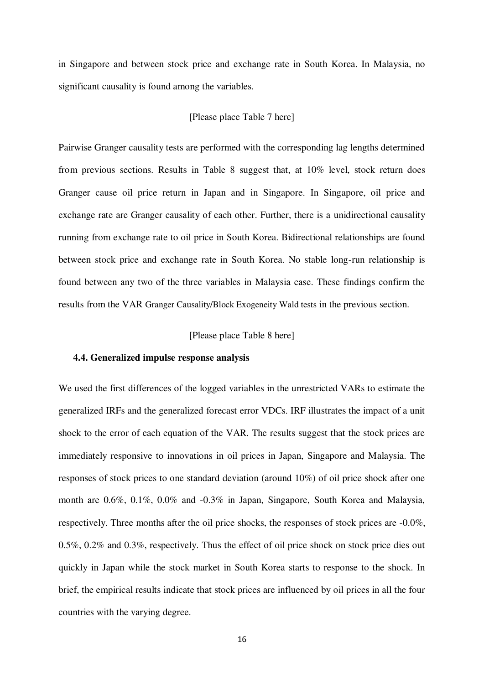in Singapore and between stock price and exchange rate in South Korea. In Malaysia, no significant causality is found among the variables.

#### [Please place Table 7 here]

Pairwise Granger causality tests are performed with the corresponding lag lengths determined from previous sections. Results in Table 8 suggest that, at 10% level, stock return does Granger cause oil price return in Japan and in Singapore. In Singapore, oil price and exchange rate are Granger causality of each other. Further, there is a unidirectional causality running from exchange rate to oil price in South Korea. Bidirectional relationships are found between stock price and exchange rate in South Korea. No stable long-run relationship is found between any two of the three variables in Malaysia case. These findings confirm the results from the VAR Granger Causality/Block Exogeneity Wald tests in the previous section.

#### [Please place Table 8 here]

#### **4.4. Generalized impulse response analysis**

We used the first differences of the logged variables in the unrestricted VARs to estimate the generalized IRFs and the generalized forecast error VDCs. IRF illustrates the impact of a unit shock to the error of each equation of the VAR. The results suggest that the stock prices are immediately responsive to innovations in oil prices in Japan, Singapore and Malaysia. The responses of stock prices to one standard deviation (around 10%) of oil price shock after one month are 0.6%, 0.1%, 0.0% and -0.3% in Japan, Singapore, South Korea and Malaysia, respectively. Three months after the oil price shocks, the responses of stock prices are -0.0%, 0.5%, 0.2% and 0.3%, respectively. Thus the effect of oil price shock on stock price dies out quickly in Japan while the stock market in South Korea starts to response to the shock. In brief, the empirical results indicate that stock prices are influenced by oil prices in all the four countries with the varying degree.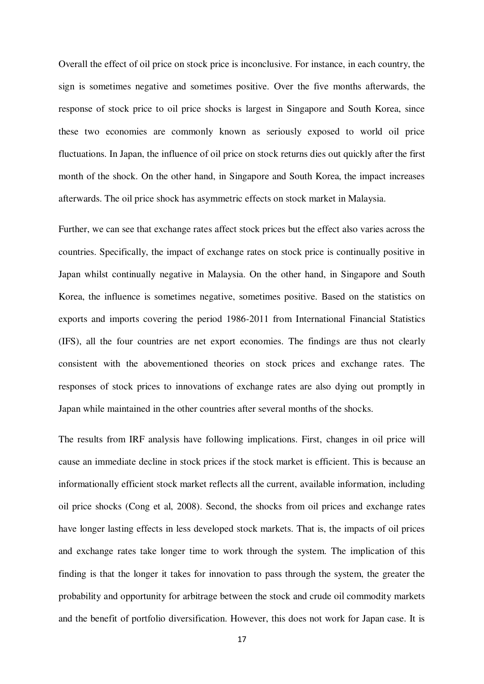Overall the effect of oil price on stock price is inconclusive. For instance, in each country, the sign is sometimes negative and sometimes positive. Over the five months afterwards, the response of stock price to oil price shocks is largest in Singapore and South Korea, since these two economies are commonly known as seriously exposed to world oil price fluctuations. In Japan, the influence of oil price on stock returns dies out quickly after the first month of the shock. On the other hand, in Singapore and South Korea, the impact increases afterwards. The oil price shock has asymmetric effects on stock market in Malaysia.

Further, we can see that exchange rates affect stock prices but the effect also varies across the countries. Specifically, the impact of exchange rates on stock price is continually positive in Japan whilst continually negative in Malaysia. On the other hand, in Singapore and South Korea, the influence is sometimes negative, sometimes positive. Based on the statistics on exports and imports covering the period 1986-2011 from International Financial Statistics (IFS), all the four countries are net export economies. The findings are thus not clearly consistent with the abovementioned theories on stock prices and exchange rates. The responses of stock prices to innovations of exchange rates are also dying out promptly in Japan while maintained in the other countries after several months of the shocks.

The results from IRF analysis have following implications. First, changes in oil price will cause an immediate decline in stock prices if the stock market is efficient. This is because an informationally efficient stock market reflects all the current, available information, including oil price shocks (Cong et al, 2008). Second, the shocks from oil prices and exchange rates have longer lasting effects in less developed stock markets. That is, the impacts of oil prices and exchange rates take longer time to work through the system. The implication of this finding is that the longer it takes for innovation to pass through the system, the greater the probability and opportunity for arbitrage between the stock and crude oil commodity markets and the benefit of portfolio diversification. However, this does not work for Japan case. It is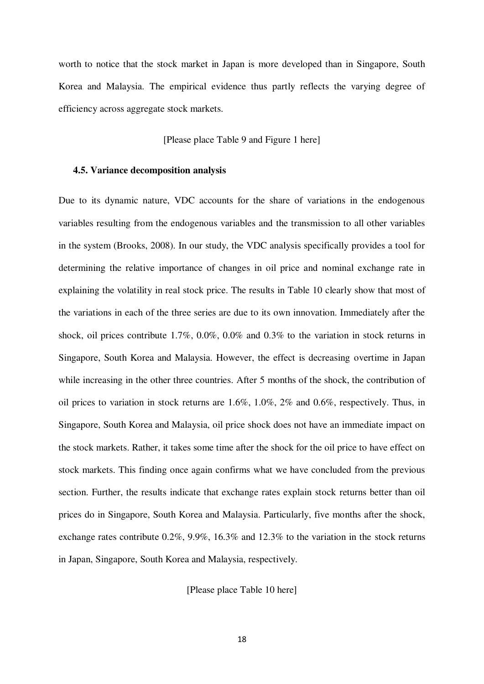worth to notice that the stock market in Japan is more developed than in Singapore, South Korea and Malaysia. The empirical evidence thus partly reflects the varying degree of efficiency across aggregate stock markets.

[Please place Table 9 and Figure 1 here]

#### **4.5. Variance decomposition analysis**

Due to its dynamic nature, VDC accounts for the share of variations in the endogenous variables resulting from the endogenous variables and the transmission to all other variables in the system (Brooks, 2008). In our study, the VDC analysis specifically provides a tool for determining the relative importance of changes in oil price and nominal exchange rate in explaining the volatility in real stock price. The results in Table 10 clearly show that most of the variations in each of the three series are due to its own innovation. Immediately after the shock, oil prices contribute 1.7%, 0.0%, 0.0% and 0.3% to the variation in stock returns in Singapore, South Korea and Malaysia. However, the effect is decreasing overtime in Japan while increasing in the other three countries. After 5 months of the shock, the contribution of oil prices to variation in stock returns are 1.6%, 1.0%, 2% and 0.6%, respectively. Thus, in Singapore, South Korea and Malaysia, oil price shock does not have an immediate impact on the stock markets. Rather, it takes some time after the shock for the oil price to have effect on stock markets. This finding once again confirms what we have concluded from the previous section. Further, the results indicate that exchange rates explain stock returns better than oil prices do in Singapore, South Korea and Malaysia. Particularly, five months after the shock, exchange rates contribute 0.2%, 9.9%, 16.3% and 12.3% to the variation in the stock returns in Japan, Singapore, South Korea and Malaysia, respectively.

[Please place Table 10 here]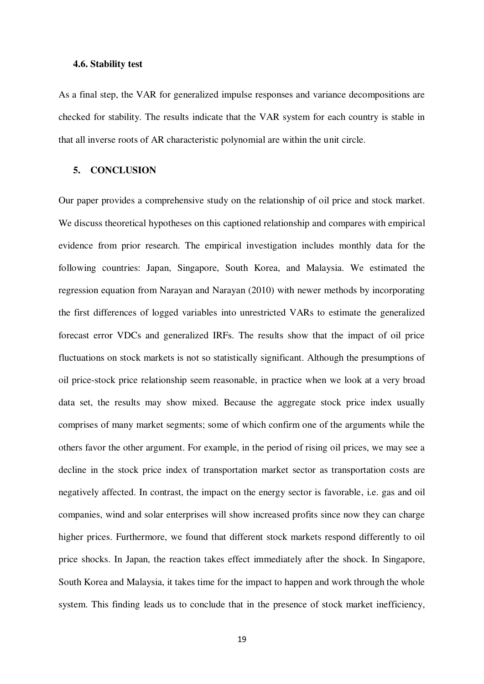#### **4.6. Stability test**

As a final step, the VAR for generalized impulse responses and variance decompositions are checked for stability. The results indicate that the VAR system for each country is stable in that all inverse roots of AR characteristic polynomial are within the unit circle.

#### **5. CONCLUSION**

Our paper provides a comprehensive study on the relationship of oil price and stock market. We discuss theoretical hypotheses on this captioned relationship and compares with empirical evidence from prior research. The empirical investigation includes monthly data for the following countries: Japan, Singapore, South Korea, and Malaysia. We estimated the regression equation from Narayan and Narayan (2010) with newer methods by incorporating the first differences of logged variables into unrestricted VARs to estimate the generalized forecast error VDCs and generalized IRFs. The results show that the impact of oil price fluctuations on stock markets is not so statistically significant. Although the presumptions of oil price-stock price relationship seem reasonable, in practice when we look at a very broad data set, the results may show mixed. Because the aggregate stock price index usually comprises of many market segments; some of which confirm one of the arguments while the others favor the other argument. For example, in the period of rising oil prices, we may see a decline in the stock price index of transportation market sector as transportation costs are negatively affected. In contrast, the impact on the energy sector is favorable, i.e. gas and oil companies, wind and solar enterprises will show increased profits since now they can charge higher prices. Furthermore, we found that different stock markets respond differently to oil price shocks. In Japan, the reaction takes effect immediately after the shock. In Singapore, South Korea and Malaysia, it takes time for the impact to happen and work through the whole system. This finding leads us to conclude that in the presence of stock market inefficiency,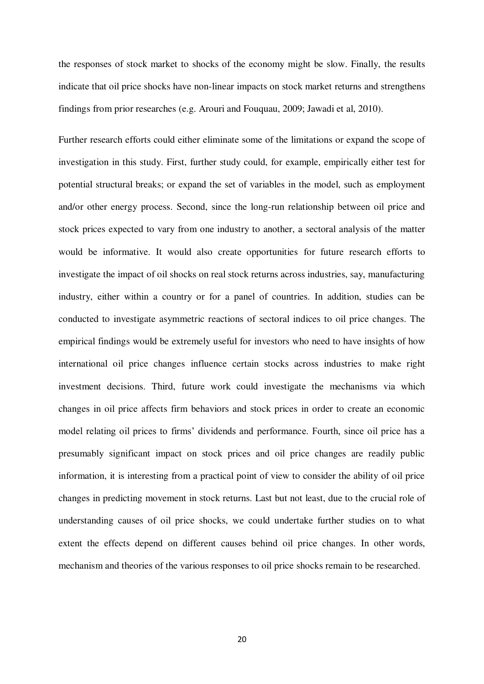the responses of stock market to shocks of the economy might be slow. Finally, the results indicate that oil price shocks have non-linear impacts on stock market returns and strengthens findings from prior researches (e.g. Arouri and Fouquau, 2009; Jawadi et al, 2010).

Further research efforts could either eliminate some of the limitations or expand the scope of investigation in this study. First, further study could, for example, empirically either test for potential structural breaks; or expand the set of variables in the model, such as employment and/or other energy process. Second, since the long-run relationship between oil price and stock prices expected to vary from one industry to another, a sectoral analysis of the matter would be informative. It would also create opportunities for future research efforts to investigate the impact of oil shocks on real stock returns across industries, say, manufacturing industry, either within a country or for a panel of countries. In addition, studies can be conducted to investigate asymmetric reactions of sectoral indices to oil price changes. The empirical findings would be extremely useful for investors who need to have insights of how international oil price changes influence certain stocks across industries to make right investment decisions. Third, future work could investigate the mechanisms via which changes in oil price affects firm behaviors and stock prices in order to create an economic model relating oil prices to firms' dividends and performance. Fourth, since oil price has a presumably significant impact on stock prices and oil price changes are readily public information, it is interesting from a practical point of view to consider the ability of oil price changes in predicting movement in stock returns. Last but not least, due to the crucial role of understanding causes of oil price shocks, we could undertake further studies on to what extent the effects depend on different causes behind oil price changes. In other words, mechanism and theories of the various responses to oil price shocks remain to be researched.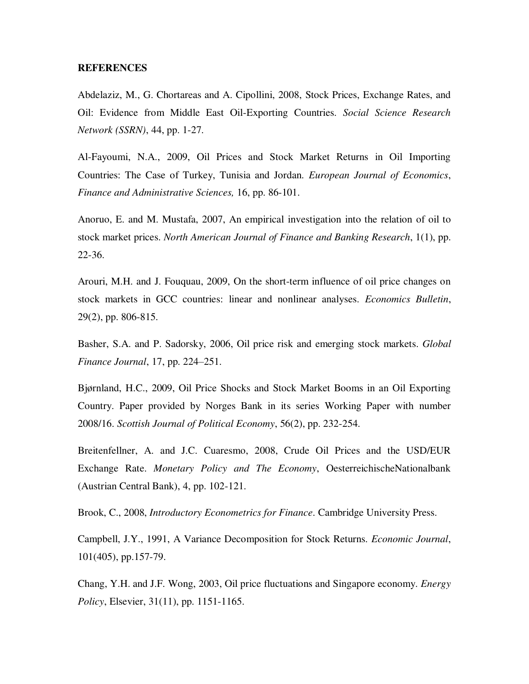#### **REFERENCES**

Abdelaziz, M., G. Chortareas and A. Cipollini, 2008, Stock Prices, Exchange Rates, and Oil: Evidence from Middle East Oil-Exporting Countries. *Social Science Research Network (SSRN)*, 44, pp. 1-27.

Al-Fayoumi, N.A., 2009, Oil Prices and Stock Market Returns in Oil Importing Countries: The Case of Turkey, Tunisia and Jordan. *European Journal of Economics*, *Finance and Administrative Sciences,* 16, pp. 86-101.

Anoruo, E. and M. Mustafa, 2007, An empirical investigation into the relation of oil to stock market prices. *North American Journal of Finance and Banking Research*, 1(1), pp. 22-36.

Arouri, M.H. and J. Fouquau, 2009, On the short-term influence of oil price changes on stock markets in GCC countries: linear and nonlinear analyses. *Economics Bulletin*, 29(2), pp. 806-815.

Basher, S.A. and P. Sadorsky, 2006, Oil price risk and emerging stock markets. *Global Finance Journal*, 17, pp. 224–251.

Bjørnland, H.C., 2009, Oil Price Shocks and Stock Market Booms in an Oil Exporting Country. Paper provided by Norges Bank in its series Working Paper with number 2008/16. *Scottish Journal of Political Economy*, 56(2), pp. 232-254.

Breitenfellner, A. and J.C. Cuaresmo, 2008, Crude Oil Prices and the USD/EUR Exchange Rate. *Monetary Policy and The Economy*, OesterreichischeNationalbank (Austrian Central Bank), 4, pp. 102-121.

Brook, C., 2008, *Introductory Econometrics for Finance*. Cambridge University Press.

Campbell, J.Y., 1991, A Variance Decomposition for Stock Returns. *Economic Journal*, 101(405), pp.157-79.

Chang, Y.H. and J.F. Wong, 2003, Oil price fluctuations and Singapore economy. *Energy Policy*, Elsevier, 31(11), pp. 1151-1165.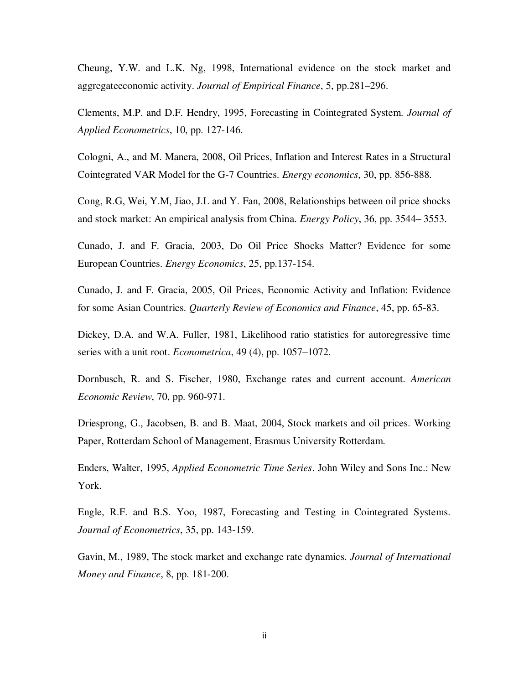Cheung, Y.W. and L.K. Ng, 1998, International evidence on the stock market and aggregateeconomic activity. *Journal of Empirical Finance*, 5, pp.281–296.

Clements, M.P. and D.F. Hendry, 1995, Forecasting in Cointegrated System. *Journal of Applied Econometrics*, 10, pp. 127-146.

Cologni, A., and M. Manera, 2008, Oil Prices, Inflation and Interest Rates in a Structural Cointegrated VAR Model for the G-7 Countries. *Energy economics*, 30, pp. 856-888.

Cong, R.G, Wei, Y.M, Jiao, J.L and Y. Fan, 2008, Relationships between oil price shocks and stock market: An empirical analysis from China. *Energy Policy*, 36, pp. 3544– 3553.

Cunado, J. and F. Gracia, 2003, Do Oil Price Shocks Matter? Evidence for some European Countries. *Energy Economics*, 25, pp.137-154.

Cunado, J. and F. Gracia, 2005, Oil Prices, Economic Activity and Inflation: Evidence for some Asian Countries. *Quarterly Review of Economics and Finance*, 45, pp. 65-83.

Dickey, D.A. and W.A. Fuller, 1981, Likelihood ratio statistics for autoregressive time series with a unit root. *Econometrica*, 49 (4), pp. 1057–1072.

Dornbusch, R. and S. Fischer, 1980, Exchange rates and current account. *American Economic Review*, 70, pp. 960-971.

Driesprong, G., Jacobsen, B. and B. Maat, 2004, Stock markets and oil prices. Working Paper, Rotterdam School of Management, Erasmus University Rotterdam.

Enders, Walter, 1995, *Applied Econometric Time Series*. John Wiley and Sons Inc.: New York.

Engle, R.F. and B.S. Yoo, 1987, Forecasting and Testing in Cointegrated Systems. *Journal of Econometrics*, 35, pp. 143-159.

Gavin, M., 1989, The stock market and exchange rate dynamics. *Journal of International Money and Finance*, 8, pp. 181-200.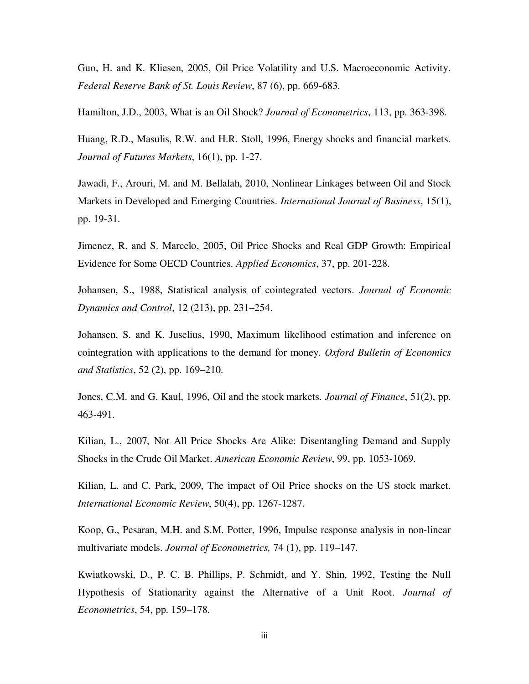Guo, H. and K. Kliesen, 2005, Oil Price Volatility and U.S. Macroeconomic Activity. *Federal Reserve Bank of St. Louis Review*, 87 (6), pp. 669-683.

Hamilton, J.D., 2003, What is an Oil Shock? *Journal of Econometrics*, 113, pp. 363-398.

Huang, R.D., Masulis, R.W. and H.R. Stoll, 1996, Energy shocks and financial markets. *Journal of Futures Markets*, 16(1), pp. 1-27.

Jawadi, F., Arouri, M. and M. Bellalah, 2010, Nonlinear Linkages between Oil and Stock Markets in Developed and Emerging Countries. *International Journal of Business*, 15(1), pp. 19-31.

Jimenez, R. and S. Marcelo, 2005, Oil Price Shocks and Real GDP Growth: Empirical Evidence for Some OECD Countries. *Applied Economics*, 37, pp. 201-228.

Johansen, S., 1988, Statistical analysis of cointegrated vectors. *Journal of Economic Dynamics and Control*, 12 (213), pp. 231–254.

Johansen, S. and K. Juselius, 1990, Maximum likelihood estimation and inference on cointegration with applications to the demand for money. *Oxford Bulletin of Economics and Statistics*, 52 (2), pp. 169–210.

Jones, C.M. and G. Kaul, 1996, Oil and the stock markets. *Journal of Finance*, 51(2), pp. 463-491.

Kilian, L., 2007, Not All Price Shocks Are Alike: Disentangling Demand and Supply Shocks in the Crude Oil Market. *American Economic Review*, 99, pp. 1053-1069.

Kilian, L. and C. Park, 2009, The impact of Oil Price shocks on the US stock market. *International Economic Review*, 50(4), pp. 1267-1287.

Koop, G., Pesaran, M.H. and S.M. Potter, 1996, Impulse response analysis in non-linear multivariate models. *Journal of Econometrics,* 74 (1), pp. 119–147.

Kwiatkowski, D., P. C. B. Phillips, P. Schmidt, and Y. Shin, 1992, Testing the Null Hypothesis of Stationarity against the Alternative of a Unit Root. *Journal of Econometrics*, 54, pp. 159–178.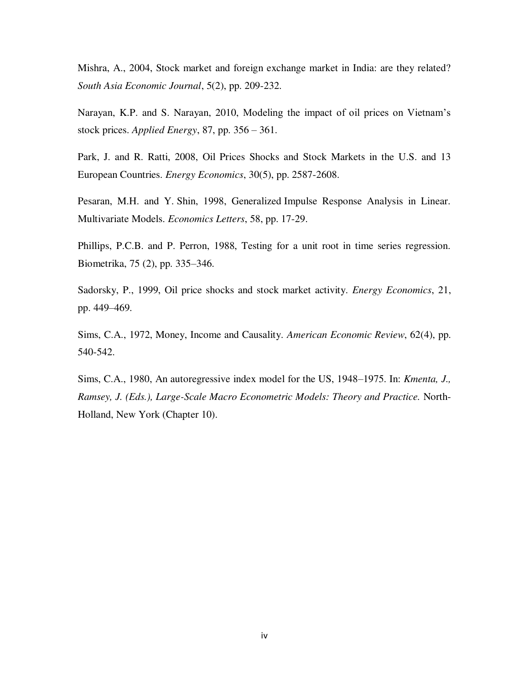Mishra, A., 2004, Stock market and foreign exchange market in India: are they related? *South Asia Economic Journal*, 5(2), pp. 209-232.

Narayan, K.P. and S. Narayan, 2010, Modeling the impact of oil prices on Vietnam's stock prices. *Applied Energy*, 87, pp. 356 – 361.

Park, J. and R. Ratti, 2008, Oil Prices Shocks and Stock Markets in the U.S. and 13 European Countries. *Energy Economics*, 30(5), pp. 2587-2608.

Pesaran, M.H. and Y. Shin, 1998, Generalized Impulse Response Analysis in Linear. Multivariate Models. *Economics Letters*, 58, pp. 17-29.

Phillips, P.C.B. and P. Perron, 1988, Testing for a unit root in time series regression. Biometrika, 75 (2), pp. 335–346.

Sadorsky, P., 1999, Oil price shocks and stock market activity. *Energy Economics*, 21, pp. 449–469.

Sims, C.A., 1972, Money, Income and Causality. *American Economic Review*, 62(4), pp. 540-542.

Sims, C.A., 1980, An autoregressive index model for the US, 1948–1975. In: *Kmenta, J., Ramsey, J. (Eds.), Large-Scale Macro Econometric Models: Theory and Practice.* North-Holland, New York (Chapter 10).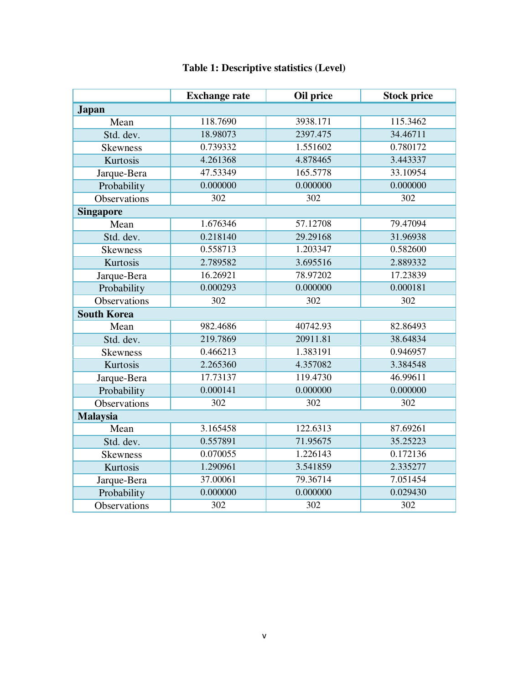|                     | <b>Exchange rate</b> | Oil price | <b>Stock price</b> |
|---------------------|----------------------|-----------|--------------------|
| <b>Japan</b>        |                      |           |                    |
| Mean                | 118.7690             | 3938.171  | 115.3462           |
| Std. dev.           | 18.98073             | 2397.475  | 34.46711           |
| <b>Skewness</b>     | 0.739332             | 1.551602  | 0.780172           |
| Kurtosis            | 4.261368             | 4.878465  | 3.443337           |
| Jarque-Bera         | 47.53349             | 165.5778  | 33.10954           |
| Probability         | 0.000000             | 0.000000  | 0.000000           |
| <b>Observations</b> | 302                  | 302       | 302                |
| <b>Singapore</b>    |                      |           |                    |
| Mean                | 1.676346             | 57.12708  | 79.47094           |
| Std. dev.           | 0.218140             | 29.29168  | 31.96938           |
| <b>Skewness</b>     | 0.558713             | 1.203347  | 0.582600           |
| Kurtosis            | 2.789582             | 3.695516  | 2.889332           |
| Jarque-Bera         | 16.26921             | 78.97202  | 17.23839           |
| Probability         | 0.000293             | 0.000000  | 0.000181           |
| <b>Observations</b> | 302                  | 302       | 302                |
| <b>South Korea</b>  |                      |           |                    |
| Mean                | 982.4686             | 40742.93  | 82.86493           |
| Std. dev.           | 219.7869             | 20911.81  | 38.64834           |
| <b>Skewness</b>     | 0.466213             | 1.383191  | 0.946957           |
| Kurtosis            | 2.265360             | 4.357082  | 3.384548           |
| Jarque-Bera         | 17.73137             | 119.4730  | 46.99611           |
| Probability         | 0.000141             | 0.000000  | 0.000000           |
| <b>Observations</b> | 302                  | 302       | 302                |
| <b>Malaysia</b>     |                      |           |                    |
| Mean                | 3.165458             | 122.6313  | 87.69261           |
| Std. dev.           | 0.557891             | 71.95675  | 35.25223           |
| Skewness            | 0.070055             | 1.226143  | 0.172136           |
| Kurtosis            | 1.290961             | 3.541859  | 2.335277           |
| Jarque-Bera         | 37.00061             | 79.36714  | 7.051454           |
| Probability         | 0.000000             | 0.000000  | 0.029430           |
| Observations        | 302                  | 302       | 302                |

# **Table 1: Descriptive statistics (Level)**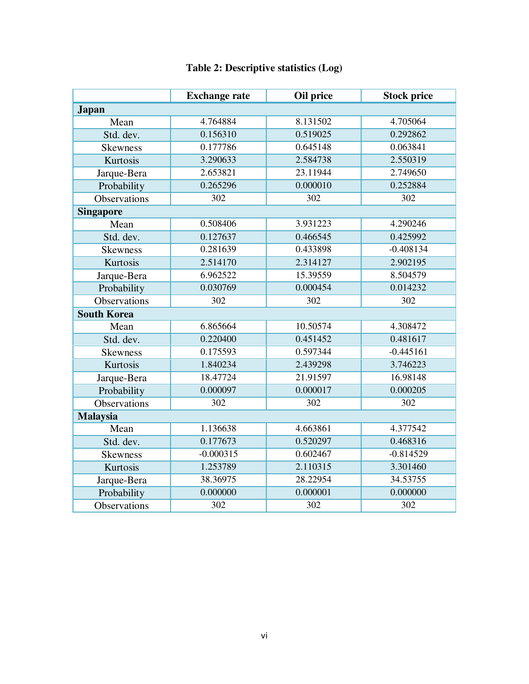|                     | <b>Exchange rate</b> | Oil price | <b>Stock price</b> |
|---------------------|----------------------|-----------|--------------------|
| <b>Japan</b>        |                      |           |                    |
| Mean                | 4.764884             | 8.131502  | 4.705064           |
| Std. dev.           | 0.156310             | 0.519025  | 0.292862           |
| <b>Skewness</b>     | 0.177786             | 0.645148  | 0.063841           |
| Kurtosis            | 3.290633             | 2.584738  | 2.550319           |
| Jarque-Bera         | 2.653821             | 23.11944  | 2.749650           |
| Probability         | 0.265296             | 0.000010  | 0.252884           |
| <b>Observations</b> | 302                  | 302       | 302                |
| <b>Singapore</b>    |                      |           |                    |
| Mean                | 0.508406             | 3.931223  | 4.290246           |
| Std. dev.           | 0.127637             | 0.466545  | 0.425992           |
| <b>Skewness</b>     | 0.281639             | 0.433898  | $-0.408134$        |
| Kurtosis            | 2.514170             | 2.314127  | 2.902195           |
| Jarque-Bera         | 6.962522             | 15.39559  | 8.504579           |
| Probability         | 0.030769             | 0.000454  | 0.014232           |
| <b>Observations</b> | 302                  | 302       | 302                |
| <b>South Korea</b>  |                      |           |                    |
| Mean                | 6.865664             | 10.50574  | 4.308472           |
| Std. dev.           | 0.220400             | 0.451452  | 0.481617           |
| <b>Skewness</b>     | 0.175593             | 0.597344  | $-0.445161$        |
| Kurtosis            | 1.840234             | 2.439298  | 3.746223           |
| Jarque-Bera         | 18.47724             | 21.91597  | 16.98148           |
| Probability         | 0.000097             | 0.000017  | 0.000205           |
| <b>Observations</b> | 302                  | 302       | 302                |
| <b>Malaysia</b>     |                      |           |                    |
| Mean                | 1.136638             | 4.663861  | 4.377542           |
| Std. dev.           | 0.177673             | 0.520297  | 0.468316           |
| <b>Skewness</b>     | $-0.000315$          | 0.602467  | $-0.814529$        |
| Kurtosis            | 1.253789             | 2.110315  | 3.301460           |
| Jarque-Bera         | 38.36975             | 28.22954  | 34.53755           |
| Probability         | 0.000000             | 0.000001  | 0.000000           |
| Observations        | 302                  | 302       | 302                |

# **Table 2: Descriptive statistics (Log)**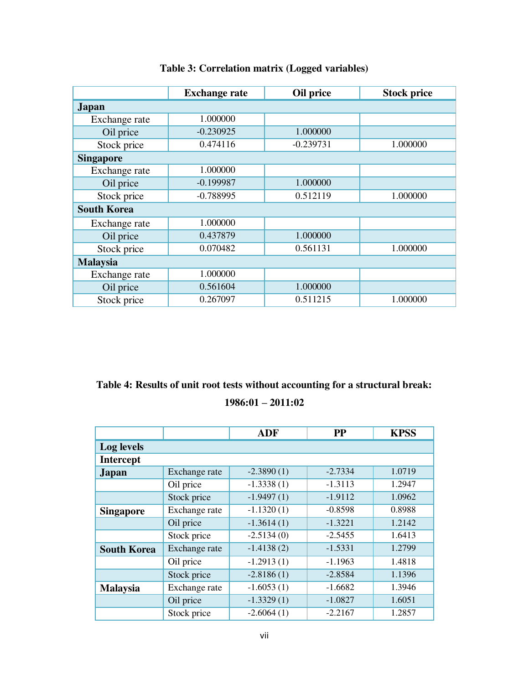|                    | <b>Exchange rate</b> | Oil price   | <b>Stock price</b> |
|--------------------|----------------------|-------------|--------------------|
| <b>Japan</b>       |                      |             |                    |
| Exchange rate      | 1.000000             |             |                    |
| Oil price          | $-0.230925$          | 1.000000    |                    |
| Stock price        | 0.474116             | $-0.239731$ | 1.000000           |
| <b>Singapore</b>   |                      |             |                    |
| Exchange rate      | 1.000000             |             |                    |
| Oil price          | $-0.199987$          | 1.000000    |                    |
| Stock price        | $-0.788995$          | 0.512119    | 1.000000           |
| <b>South Korea</b> |                      |             |                    |
| Exchange rate      | 1.000000             |             |                    |
| Oil price          | 0.437879             | 1.000000    |                    |
| Stock price        | 0.070482             | 0.561131    | 1.000000           |
| <b>Malaysia</b>    |                      |             |                    |
| Exchange rate      | 1.000000             |             |                    |
| Oil price          | 0.561604             | 1.000000    |                    |
| Stock price        | 0.267097             | 0.511215    | 1.000000           |

# **Table 3: Correlation matrix (Logged variables)**

# **Table 4: Results of unit root tests without accounting for a structural break: 1986:01 – 2011:02**

|                    |               | <b>ADF</b>   | <b>PP</b> | <b>KPSS</b> |  |  |  |  |  |  |
|--------------------|---------------|--------------|-----------|-------------|--|--|--|--|--|--|
| Log levels         |               |              |           |             |  |  |  |  |  |  |
| <b>Intercept</b>   |               |              |           |             |  |  |  |  |  |  |
| <b>Japan</b>       | Exchange rate | $-2.3890(1)$ | $-2.7334$ | 1.0719      |  |  |  |  |  |  |
|                    | Oil price     | $-1.3338(1)$ | $-1.3113$ | 1.2947      |  |  |  |  |  |  |
|                    | Stock price   | $-1.9497(1)$ | $-1.9112$ | 1.0962      |  |  |  |  |  |  |
| <b>Singapore</b>   | Exchange rate | $-1.1320(1)$ | $-0.8598$ | 0.8988      |  |  |  |  |  |  |
|                    | Oil price     | $-1.3614(1)$ | $-1.3221$ | 1.2142      |  |  |  |  |  |  |
|                    | Stock price   | $-2.5134(0)$ | $-2.5455$ | 1.6413      |  |  |  |  |  |  |
| <b>South Korea</b> | Exchange rate | $-1.4138(2)$ | $-1.5331$ | 1.2799      |  |  |  |  |  |  |
|                    | Oil price     | $-1.2913(1)$ | $-1.1963$ | 1.4818      |  |  |  |  |  |  |
|                    | Stock price   | $-2.8186(1)$ | $-2.8584$ | 1.1396      |  |  |  |  |  |  |
| <b>Malaysia</b>    | Exchange rate | $-1.6053(1)$ | $-1.6682$ | 1.3946      |  |  |  |  |  |  |
|                    | Oil price     | $-1.3329(1)$ | $-1.0827$ | 1.6051      |  |  |  |  |  |  |
|                    | Stock price   | $-2.6064(1)$ | $-2.2167$ | 1.2857      |  |  |  |  |  |  |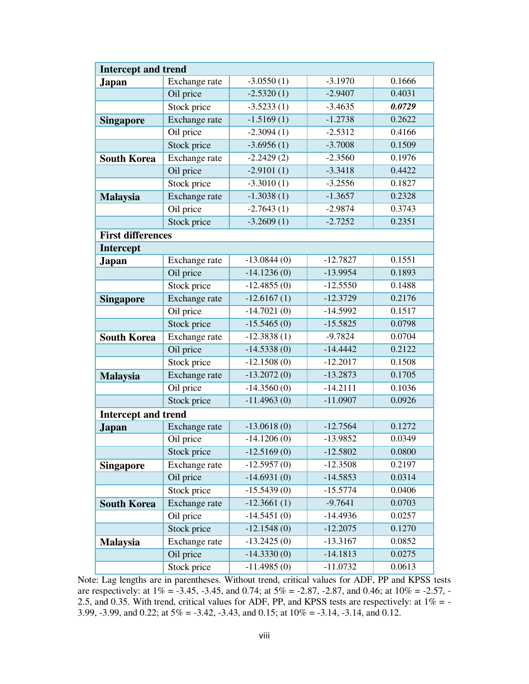| <b>Intercept and trend</b> |               |               |            |        |  |  |  |  |  |  |
|----------------------------|---------------|---------------|------------|--------|--|--|--|--|--|--|
| Japan                      | Exchange rate | $-3.0550(1)$  | $-3.1970$  | 0.1666 |  |  |  |  |  |  |
|                            | Oil price     | $-2.5320(1)$  | $-2.9407$  | 0.4031 |  |  |  |  |  |  |
|                            | Stock price   | $-3.5233(1)$  | $-3.4635$  | 0.0729 |  |  |  |  |  |  |
| <b>Singapore</b>           | Exchange rate | $-1.5169(1)$  | $-1.2738$  | 0.2622 |  |  |  |  |  |  |
|                            | Oil price     | $-2.3094(1)$  | $-2.5312$  | 0.4166 |  |  |  |  |  |  |
|                            | Stock price   | $-3.6956(1)$  | $-3.7008$  | 0.1509 |  |  |  |  |  |  |
| <b>South Korea</b>         | Exchange rate | $-2.2429(2)$  | $-2.3560$  | 0.1976 |  |  |  |  |  |  |
|                            | Oil price     | $-2.9101(1)$  | $-3.3418$  | 0.4422 |  |  |  |  |  |  |
|                            | Stock price   | $-3.3010(1)$  | $-3.2556$  | 0.1827 |  |  |  |  |  |  |
| <b>Malaysia</b>            | Exchange rate | $-1.3038(1)$  | $-1.3657$  | 0.2328 |  |  |  |  |  |  |
|                            | Oil price     | $-2.7643(1)$  | $-2.9874$  | 0.3743 |  |  |  |  |  |  |
|                            | Stock price   | $-3.2609(1)$  | $-2.7252$  | 0.2351 |  |  |  |  |  |  |
| <b>First differences</b>   |               |               |            |        |  |  |  |  |  |  |
| Intercept                  |               |               |            |        |  |  |  |  |  |  |
| <b>Japan</b>               | Exchange rate | $-13.0844(0)$ | $-12.7827$ | 0.1551 |  |  |  |  |  |  |
|                            | Oil price     | $-14.1236(0)$ | $-13.9954$ | 0.1893 |  |  |  |  |  |  |
|                            | Stock price   | $-12.4855(0)$ | $-12.5550$ | 0.1488 |  |  |  |  |  |  |
| <b>Singapore</b>           | Exchange rate | $-12.6167(1)$ | $-12.3729$ | 0.2176 |  |  |  |  |  |  |
|                            | Oil price     | $-14.7021(0)$ | $-14.5992$ | 0.1517 |  |  |  |  |  |  |
|                            | Stock price   | $-15.5465(0)$ | $-15.5825$ | 0.0798 |  |  |  |  |  |  |
| <b>South Korea</b>         | Exchange rate | $-12.3838(1)$ | $-9.7824$  | 0.0704 |  |  |  |  |  |  |
|                            | Oil price     | $-14.5338(0)$ | $-14.4442$ | 0.2122 |  |  |  |  |  |  |
|                            | Stock price   | $-12.1508(0)$ | $-12.2017$ | 0.1508 |  |  |  |  |  |  |
| <b>Malaysia</b>            | Exchange rate | $-13.2072(0)$ | $-13.2873$ | 0.1705 |  |  |  |  |  |  |
|                            | Oil price     | $-14.3560(0)$ | $-14.2111$ | 0.1036 |  |  |  |  |  |  |
|                            | Stock price   | $-11.4963(0)$ | $-11.0907$ | 0.0926 |  |  |  |  |  |  |
| <b>Intercept and trend</b> |               |               |            |        |  |  |  |  |  |  |
| <b>Japan</b>               | Exchange rate | $-13.0618(0)$ | $-12.7564$ | 0.1272 |  |  |  |  |  |  |
|                            | Oil price     | $-14.1206(0)$ | $-13.9852$ | 0.0349 |  |  |  |  |  |  |
|                            | Stock price   | $-12.5169(0)$ | $-12.5802$ | 0.0800 |  |  |  |  |  |  |
| <b>Singapore</b>           | Exchange rate | $-12.5957(0)$ | $-12.3508$ | 0.2197 |  |  |  |  |  |  |
|                            | Oil price     | $-14.6931(0)$ | $-14.5853$ | 0.0314 |  |  |  |  |  |  |
|                            | Stock price   | $-15.5439(0)$ | $-15.5774$ | 0.0406 |  |  |  |  |  |  |
| <b>South Korea</b>         | Exchange rate | $-12.3661(1)$ | $-9.7641$  | 0.0703 |  |  |  |  |  |  |
|                            | Oil price     | $-14.5451(0)$ | $-14.4936$ | 0.0257 |  |  |  |  |  |  |
|                            | Stock price   | $-12.1548(0)$ | $-12.2075$ | 0.1270 |  |  |  |  |  |  |
| <b>Malaysia</b>            | Exchange rate | $-13.2425(0)$ | $-13.3167$ | 0.0852 |  |  |  |  |  |  |
|                            | Oil price     | $-14.3330(0)$ | $-14.1813$ | 0.0275 |  |  |  |  |  |  |
|                            | Stock price   | $-11.4985(0)$ | $-11.0732$ | 0.0613 |  |  |  |  |  |  |

Note: Lag lengths are in parentheses. Without trend, critical values for ADF, PP and KPSS tests are respectively: at  $1\% = -3.45$ ,  $-3.45$ , and  $0.74$ ; at  $5\% = -2.87$ ,  $-2.87$ , and  $0.46$ ; at  $10\% = -2.57$ ,  $-$ 2.5, and 0.35. With trend, critical values for ADF, PP, and KPSS tests are respectively: at 1% = - 3.99, -3.99, and 0.22; at 5% = -3.42, -3.43, and 0.15; at 10% = -3.14, -3.14, and 0.12.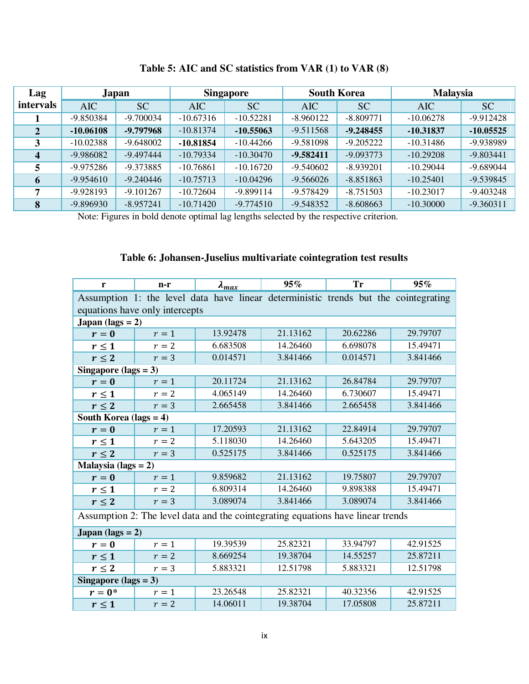| Lag          | Japan       |             | <b>Singapore</b> |             | <b>South Korea</b> |             | <b>Malaysia</b> |             |
|--------------|-------------|-------------|------------------|-------------|--------------------|-------------|-----------------|-------------|
| intervals    | <b>AIC</b>  | <b>SC</b>   | <b>AIC</b>       | <b>SC</b>   | AIC                | <b>SC</b>   | <b>AIC</b>      | <b>SC</b>   |
|              | -9.850384   | $-9.700034$ | $-10.67316$      | $-10.52281$ | $-8.960122$        | $-8.809771$ | $-10.06278$     | $-9.912428$ |
| $\mathbf{2}$ | $-10.06108$ | -9.797968   | $-10.81374$      | $-10.55063$ | $-9.511568$        | $-9.248455$ | $-10.31837$     | $-10.05525$ |
| 3            | $-10.02388$ | $-9.648002$ | $-10.81854$      | $-10.44266$ | $-9.581098$        | $-9.205222$ | $-10.31486$     | -9.938989   |
| 4            | -9.986082   | $-9.497444$ | $-10.79334$      | $-10.30470$ | $-9.582411$        | $-9.093773$ | $-10.29208$     | $-9.803441$ |
|              | $-9.975286$ | -9.373885   | $-10.76861$      | $-10.16720$ | $-9.540602$        | $-8.939201$ | $-10.29044$     | $-9.689044$ |
| 6            | $-9.954610$ | $-9.240446$ | $-10.75713$      | $-10.04296$ | $-9.566026$        | $-8.851863$ | $-10.25401$     | $-9.539845$ |
| 7            | $-9.928193$ | $-9.101267$ | $-10.72604$      | -9.899114   | -9.578429          | $-8.751503$ | $-10.23017$     | $-9.403248$ |
| 8            | -9.896930   | $-8.957241$ | $-10.71420$      | $-9.774510$ | $-9.548352$        | $-8.608663$ | $-10.30000$     | $-9.360311$ |

**Table 5: AIC and SC statistics from VAR (1) to VAR (8)** 

Note: Figures in bold denote optimal lag lengths selected by the respective criterion.

### **Table 6: Johansen-Juselius multivariate cointegration test results**

| r                         | $n-r$                          | $\lambda_{max}$                                                                     | 95%      | <b>Tr</b> | 95%      |  |  |  |  |  |  |  |
|---------------------------|--------------------------------|-------------------------------------------------------------------------------------|----------|-----------|----------|--|--|--|--|--|--|--|
|                           |                                | Assumption 1: the level data have linear deterministic trends but the cointegrating |          |           |          |  |  |  |  |  |  |  |
|                           | equations have only intercepts |                                                                                     |          |           |          |  |  |  |  |  |  |  |
| Japan (lags = $2$ )       |                                |                                                                                     |          |           |          |  |  |  |  |  |  |  |
| $r=0$                     | $r=1$                          | 13.92478                                                                            | 21.13162 | 20.62286  | 29.79707 |  |  |  |  |  |  |  |
| $r \leq 1$                | $r=2$                          | 6.683508                                                                            | 14.26460 | 6.698078  | 15.49471 |  |  |  |  |  |  |  |
| $r \leq 2$                | $r=3$                          | 0.014571                                                                            | 3.841466 | 0.014571  | 3.841466 |  |  |  |  |  |  |  |
| Singapore (lags = $3$ )   |                                |                                                                                     |          |           |          |  |  |  |  |  |  |  |
| $r=0$                     | $r=1$                          | 20.11724                                                                            | 21.13162 | 26.84784  | 29.79707 |  |  |  |  |  |  |  |
| $r \leq 1$                | $r=2$                          | 4.065149                                                                            | 14.26460 | 6.730607  | 15.49471 |  |  |  |  |  |  |  |
| $r \leq 2$                | $r=3$                          | 2.665458                                                                            | 3.841466 | 2.665458  | 3.841466 |  |  |  |  |  |  |  |
| South Korea (lags = $4$ ) |                                |                                                                                     |          |           |          |  |  |  |  |  |  |  |
| $r=0$                     | $r=1$                          | 17.20593                                                                            | 21.13162 | 22.84914  | 29.79707 |  |  |  |  |  |  |  |
| $r \leq 1$                | $r=2$                          | 5.118030                                                                            | 14.26460 | 5.643205  | 15.49471 |  |  |  |  |  |  |  |
| $r \leq 2$                | 0.525175<br>3.841466<br>$r=3$  |                                                                                     | 0.525175 | 3.841466  |          |  |  |  |  |  |  |  |
| Malaysia (lags = $2$ )    |                                |                                                                                     |          |           |          |  |  |  |  |  |  |  |
| $r=0$                     | $r=1$                          | 9.859682                                                                            | 21.13162 | 19.75807  | 29.79707 |  |  |  |  |  |  |  |
| $r \leq 1$                | $r=2$                          | 6.809314                                                                            | 14.26460 | 9.898388  | 15.49471 |  |  |  |  |  |  |  |
| $r \leq 2$                | $r=3$                          | 3.089074                                                                            | 3.841466 | 3.089074  | 3.841466 |  |  |  |  |  |  |  |
|                           |                                | Assumption 2: The level data and the cointegrating equations have linear trends     |          |           |          |  |  |  |  |  |  |  |
| Japan (lags $= 2$ )       |                                |                                                                                     |          |           |          |  |  |  |  |  |  |  |
| $r=0$                     | $r=1$                          | 19.39539                                                                            | 25.82321 | 33.94797  | 42.91525 |  |  |  |  |  |  |  |
| $r \leq 1$                | $r=2$                          | 8.669254                                                                            | 19.38704 | 14.55257  | 25.87211 |  |  |  |  |  |  |  |
| $r \leq 2$                | $r=3$                          | 5.883321                                                                            | 12.51798 | 5.883321  | 12.51798 |  |  |  |  |  |  |  |
| Singapore (lags = $3$ )   |                                |                                                                                     |          |           |          |  |  |  |  |  |  |  |
| $r=0^*$                   | $r=1$                          | 23.26548                                                                            | 25.82321 | 40.32356  | 42.91525 |  |  |  |  |  |  |  |
| $r\leq 1$                 | $r=2$                          | 14.06011                                                                            | 19.38704 | 17.05808  | 25.87211 |  |  |  |  |  |  |  |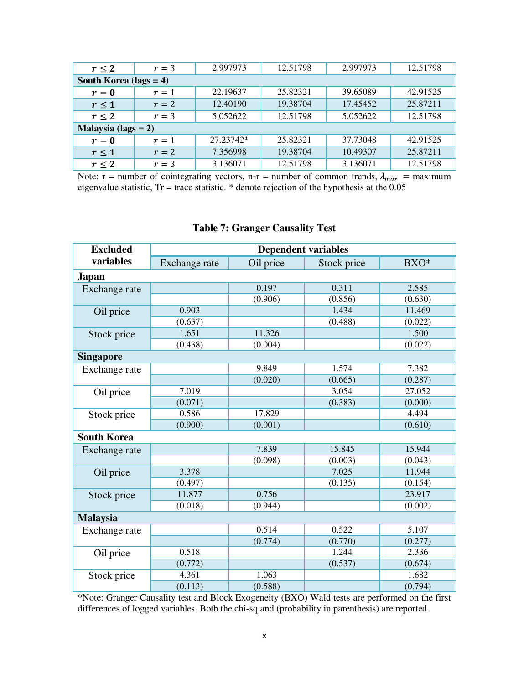| $r \leq 2$             | $r=3$                     | 2.997973  | 12.51798 | 2.997973 | 12.51798 |  |  |  |  |  |  |  |  |
|------------------------|---------------------------|-----------|----------|----------|----------|--|--|--|--|--|--|--|--|
|                        | South Korea (lags $= 4$ ) |           |          |          |          |  |  |  |  |  |  |  |  |
| $r=0$                  | $r=1$                     | 22.19637  | 25.82321 | 39.65089 | 42.91525 |  |  |  |  |  |  |  |  |
| r<1                    | $r=2$                     | 12.40190  | 19.38704 | 17.45452 | 25.87211 |  |  |  |  |  |  |  |  |
| $r \leq 2$             | $r=3$                     | 5.052622  | 12.51798 | 5.052622 | 12.51798 |  |  |  |  |  |  |  |  |
| Malaysia (lags $= 2$ ) |                           |           |          |          |          |  |  |  |  |  |  |  |  |
| $r=0$                  | $r=1$                     | 27.23742* | 25.82321 | 37.73048 | 42.91525 |  |  |  |  |  |  |  |  |
| $r \leq 1$             | 7.356998<br>$r=2$         |           | 19.38704 | 10.49307 | 25.87211 |  |  |  |  |  |  |  |  |
| $r \leq 2$             | $r=3$                     | 3.136071  | 12.51798 | 3.136071 | 12.51798 |  |  |  |  |  |  |  |  |

Note: r = number of cointegrating vectors, n-r = number of common trends,  $\lambda_{max}$  = maximum eigenvalue statistic, Tr = trace statistic. \* denote rejection of the hypothesis at the 0.05

| <b>Excluded</b>    |               | <b>Dependent variables</b> |             |         |
|--------------------|---------------|----------------------------|-------------|---------|
| variables          | Exchange rate | Oil price                  | Stock price | BXO*    |
| <b>Japan</b>       |               |                            |             |         |
| Exchange rate      |               | 0.197                      | 0.311       | 2.585   |
|                    |               | (0.906)                    | (0.856)     | (0.630) |
| Oil price          | 0.903         |                            | 1.434       | 11.469  |
|                    | (0.637)       |                            | (0.488)     | (0.022) |
| Stock price        | 1.651         | 11.326                     |             | 1.500   |
|                    | (0.438)       | (0.004)                    |             | (0.022) |
| <b>Singapore</b>   |               |                            |             |         |
| Exchange rate      |               | 9.849                      | 1.574       | 7.382   |
|                    |               | (0.020)                    | (0.665)     | (0.287) |
| Oil price          | 7.019         |                            | 3.054       | 27.052  |
|                    | (0.071)       |                            | (0.383)     | (0.000) |
| Stock price        | 0.586         | 17.829                     |             | 4.494   |
|                    | (0.900)       | (0.001)                    |             | (0.610) |
| <b>South Korea</b> |               |                            |             |         |
| Exchange rate      |               | 7.839                      | 15.845      | 15.944  |
|                    |               | (0.098)                    | (0.003)     | (0.043) |
| Oil price          | 3.378         |                            | 7.025       | 11.944  |
|                    | (0.497)       |                            | (0.135)     | (0.154) |
| Stock price        | 11.877        | 0.756                      |             | 23.917  |
|                    | (0.018)       | (0.944)                    |             | (0.002) |
| <b>Malaysia</b>    |               |                            |             |         |
| Exchange rate      |               | 0.514                      | 0.522       | 5.107   |
|                    |               | (0.774)                    | (0.770)     | (0.277) |
| Oil price          | 0.518         |                            | 1.244       | 2.336   |
|                    | (0.772)       |                            | (0.537)     | (0.674) |
| Stock price        | 4.361         | 1.063                      |             | 1.682   |
|                    | (0.113)       | (0.588)                    |             | (0.794) |

### **Table 7: Granger Causality Test**

\*Note: Granger Causality test and Block Exogeneity (BXO) Wald tests are performed on the first differences of logged variables. Both the chi-sq and (probability in parenthesis) are reported.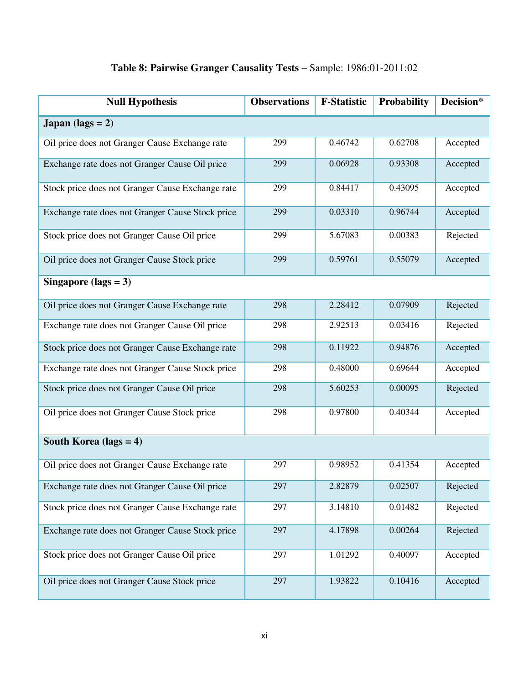| <b>Null Hypothesis</b>                           | <b>Observations</b> | <b>F-Statistic</b> | Probability | Decision* |
|--------------------------------------------------|---------------------|--------------------|-------------|-----------|
| Japan (lags $= 2$ )                              |                     |                    |             |           |
| Oil price does not Granger Cause Exchange rate   | 299                 | 0.46742            | 0.62708     | Accepted  |
| Exchange rate does not Granger Cause Oil price   | 299                 | 0.06928            | 0.93308     | Accepted  |
| Stock price does not Granger Cause Exchange rate | 299                 | 0.84417            | 0.43095     | Accepted  |
| Exchange rate does not Granger Cause Stock price | 299                 | 0.03310            | 0.96744     | Accepted  |
| Stock price does not Granger Cause Oil price     | 299                 | 5.67083            | 0.00383     | Rejected  |
| Oil price does not Granger Cause Stock price     | 299                 | 0.59761            | 0.55079     | Accepted  |
| Singapore (lags = $3$ )                          |                     |                    |             |           |
| Oil price does not Granger Cause Exchange rate   | 298                 | 2.28412            | 0.07909     | Rejected  |
| Exchange rate does not Granger Cause Oil price   | 298                 | 2.92513            | 0.03416     | Rejected  |
| Stock price does not Granger Cause Exchange rate | 298                 | 0.11922            | 0.94876     | Accepted  |
| Exchange rate does not Granger Cause Stock price | 298                 | 0.48000            | 0.69644     | Accepted  |
| Stock price does not Granger Cause Oil price     | 298                 | 5.60253            | 0.00095     | Rejected  |
| Oil price does not Granger Cause Stock price     | 298                 | 0.97800            | 0.40344     | Accepted  |
| South Korea (lags $= 4$ )                        |                     |                    |             |           |
| Oil price does not Granger Cause Exchange rate   | 297                 | 0.98952            | 0.41354     | Accepted  |
| Exchange rate does not Granger Cause Oil price   | 297                 | 2.82879            | 0.02507     | Rejected  |
| Stock price does not Granger Cause Exchange rate | 297                 | 3.14810            | 0.01482     | Rejected  |
| Exchange rate does not Granger Cause Stock price | 297                 | 4.17898            | 0.00264     | Rejected  |
| Stock price does not Granger Cause Oil price     | 297                 | 1.01292            | 0.40097     | Accepted  |
| Oil price does not Granger Cause Stock price     | 297                 | 1.93822            | 0.10416     | Accepted  |

# **Table 8: Pairwise Granger Causality Tests** – Sample: 1986:01-2011:02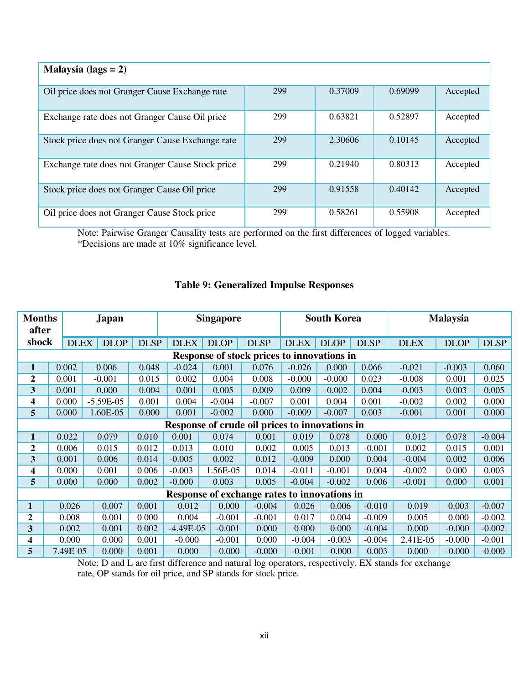| Malaysia (lags $= 2$ )                           |     |         |         |          |
|--------------------------------------------------|-----|---------|---------|----------|
| Oil price does not Granger Cause Exchange rate   | 299 | 0.37009 | 0.69099 | Accepted |
| Exchange rate does not Granger Cause Oil price   | 299 | 0.63821 | 0.52897 | Accepted |
| Stock price does not Granger Cause Exchange rate | 299 | 2.30606 | 0.10145 | Accepted |
| Exchange rate does not Granger Cause Stock price | 299 | 0.21940 | 0.80313 | Accepted |
| Stock price does not Granger Cause Oil price     | 299 | 0.91558 | 0.40142 | Accepted |
| Oil price does not Granger Cause Stock price     | 299 | 0.58261 | 0.55908 | Accepted |

Note: Pairwise Granger Causality tests are performed on the first differences of logged variables. \*Decisions are made at 10% significance level.

### **Table 9: Generalized Impulse Responses**

| <b>Months</b><br>Japan<br>after |                                                |             |             | <b>Singapore</b> |             |                                              | <b>South Korea</b> |             |             | <b>Malaysia</b> |             |             |             |
|---------------------------------|------------------------------------------------|-------------|-------------|------------------|-------------|----------------------------------------------|--------------------|-------------|-------------|-----------------|-------------|-------------|-------------|
| shock                           |                                                | <b>DLEX</b> | <b>DLOP</b> | <b>DLSP</b>      | <b>DLEX</b> | <b>DLOP</b>                                  | <b>DLSP</b>        | <b>DLEX</b> | <b>DLOP</b> | <b>DLSP</b>     | <b>DLEX</b> | <b>DLOP</b> | <b>DLSP</b> |
|                                 | Response of stock prices to innovations in     |             |             |                  |             |                                              |                    |             |             |                 |             |             |             |
| $\mathbf{1}$                    | 0.002                                          |             | 0.006       | 0.048            | $-0.024$    | 0.001                                        | 0.076              | $-0.026$    | 0.000       | 0.066           | $-0.021$    | $-0.003$    | 0.060       |
| $\boldsymbol{2}$                | 0.001                                          |             | $-0.001$    | 0.015            | 0.002       | 0.004                                        | 0.008              | $-0.000$    | $-0.000$    | 0.023           | $-0.008$    | 0.001       | 0.025       |
| $\overline{\mathbf{3}}$         | 0.001                                          |             | $-0.000$    | 0.004            | $-0.001$    | 0.005                                        | 0.009              | 0.009       | $-0.002$    | 0.004           | $-0.003$    | 0.003       | 0.005       |
| 4                               | 0.000                                          |             | $-5.59E-05$ | 0.001            | 0.004       | $-0.004$                                     | $-0.007$           | 0.001       | 0.004       | 0.001           | $-0.002$    | 0.002       | 0.000       |
| 5                               | 0.000                                          |             | 1.60E-05    | 0.000            | 0.001       | $-0.002$                                     | 0.000              | $-0.009$    | $-0.007$    | 0.003           | $-0.001$    | 0.001       | 0.000       |
|                                 | Response of crude oil prices to innovations in |             |             |                  |             |                                              |                    |             |             |                 |             |             |             |
| $\mathbf{1}$                    | 0.022                                          |             | 0.079       | 0.010            | 0.001       | 0.074                                        | 0.001              | 0.019       | 0.078       | 0.000           | 0.012       | 0.078       | $-0.004$    |
| $\boldsymbol{2}$                | 0.006                                          |             | 0.015       | 0.012            | $-0.013$    | 0.010                                        | 0.002              | 0.005       | 0.013       | $-0.001$        | 0.002       | 0.015       | 0.001       |
| 3                               | 0.001                                          |             | 0.006       | 0.014            | $-0.005$    | 0.002                                        | 0.012              | $-0.009$    | 0.000       | 0.004           | $-0.004$    | 0.002       | 0.006       |
| 4                               | 0.000                                          |             | 0.001       | 0.006            | $-0.003$    | 1.56E-05                                     | 0.014              | $-0.011$    | $-0.001$    | 0.004           | $-0.002$    | 0.000       | 0.003       |
| 5                               | 0.000                                          |             | 0.000       | 0.002            | $-0.000$    | 0.003                                        | 0.005              | $-0.004$    | $-0.002$    | 0.006           | $-0.001$    | 0.000       | 0.001       |
|                                 |                                                |             |             |                  |             | Response of exchange rates to innovations in |                    |             |             |                 |             |             |             |
| 1                               |                                                | 0.026       | 0.007       | 0.001            | 0.012       | 0.000                                        | $-0.004$           | 0.026       | 0.006       | $-0.010$        | 0.019       | 0.003       | $-0.007$    |
| 2                               |                                                | 0.008       | 0.001       | 0.000            | 0.004       | $-0.001$                                     | $-0.001$           | 0.017       | 0.004       | $-0.009$        | 0.005       | 0.000       | $-0.002$    |
| 3                               |                                                | 0.002       | 0.001       | 0.002            | $-4.49E-05$ | $-0.001$                                     | 0.000              | 0.000       | 0.000       | $-0.004$        | 0.000       | $-0.000$    | $-0.002$    |
| 4                               |                                                | 0.000       | 0.000       | 0.001            | $-0.000$    | $-0.001$                                     | 0.000              | $-0.004$    | $-0.003$    | $-0.004$        | 2.41E-05    | $-0.000$    | $-0.001$    |
| 5                               |                                                | 7.49E-05    | 0.000       | 0.001            | 0.000       | $-0.000$                                     | $-0.000$           | $-0.001$    | $-0.000$    | $-0.003$        | 0.000       | $-0.000$    | $-0.000$    |

Note: D and L are first difference and natural log operators, respectively. EX stands for exchange rate, OP stands for oil price, and SP stands for stock price.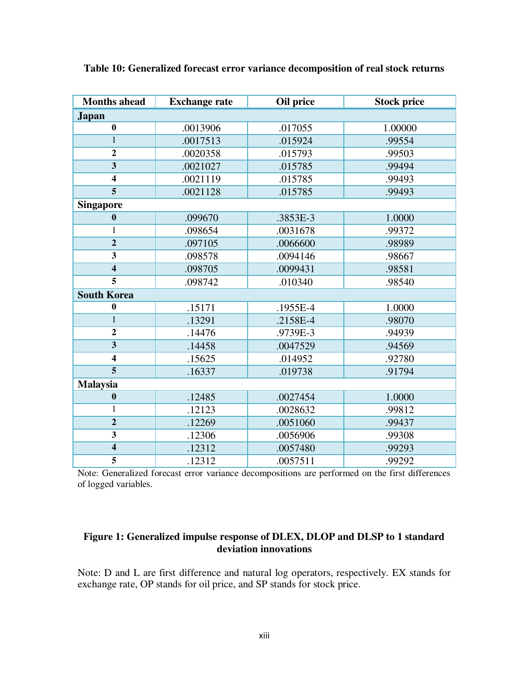| <b>Months ahead</b>     | <b>Exchange rate</b> | Oil price | <b>Stock price</b> |
|-------------------------|----------------------|-----------|--------------------|
| <b>Japan</b>            |                      |           |                    |
| $\bf{0}$                | .0013906             | .017055   | 1.00000            |
| $\mathbf{1}$            | .0017513             | .015924   | .99554             |
| $\overline{2}$          | .0020358             | .015793   | .99503             |
| $\overline{\mathbf{3}}$ | .0021027             | .015785   | .99494             |
| $\overline{\mathbf{4}}$ | .0021119             | .015785   | .99493             |
| 5                       | .0021128             | .015785   | .99493             |
| <b>Singapore</b>        |                      |           |                    |
| $\bf{0}$                | .099670              | .3853E-3  | 1.0000             |
| 1                       | .098654              | .0031678  | .99372             |
| $\overline{2}$          | .097105              | .0066600  | .98989             |
| $\overline{\mathbf{3}}$ | .098578              | .0094146  | .98667             |
| $\overline{\mathbf{4}}$ | .098705              | .0099431  | .98581             |
| 5                       | .098742              | .010340   | .98540             |
| <b>South Korea</b>      |                      |           |                    |
| $\bf{0}$                | .15171               | .1955E-4  | 1.0000             |
| $\mathbf{1}$            | .13291               | .2158E-4  | .98070             |
| $\overline{2}$          | .14476               | .9739E-3  | .94939             |
| $\overline{\mathbf{3}}$ | .14458               | .0047529  | .94569             |
| $\overline{\mathbf{4}}$ | .15625               | .014952   | .92780             |
| $\overline{5}$          | .16337               | .019738   | .91794             |
| <b>Malaysia</b>         |                      |           |                    |
| $\boldsymbol{0}$        | .12485               | .0027454  | 1.0000             |
| 1                       | .12123               | .0028632  | .99812             |
| $\overline{2}$          | .12269               | .0051060  | .99437             |
| $\overline{\mathbf{3}}$ | .12306               | .0056906  | .99308             |
| $\overline{4}$          | .12312               | .0057480  | .99293             |
| 5                       | .12312               | .0057511  | .99292             |

**Table 10: Generalized forecast error variance decomposition of real stock returns** 

Note: Generalized forecast error variance decompositions are performed on the first differences of logged variables.

### **Figure 1: Generalized impulse response of DLEX, DLOP and DLSP to 1 standard deviation innovations**

Note: D and L are first difference and natural log operators, respectively. EX stands for exchange rate, OP stands for oil price, and SP stands for stock price.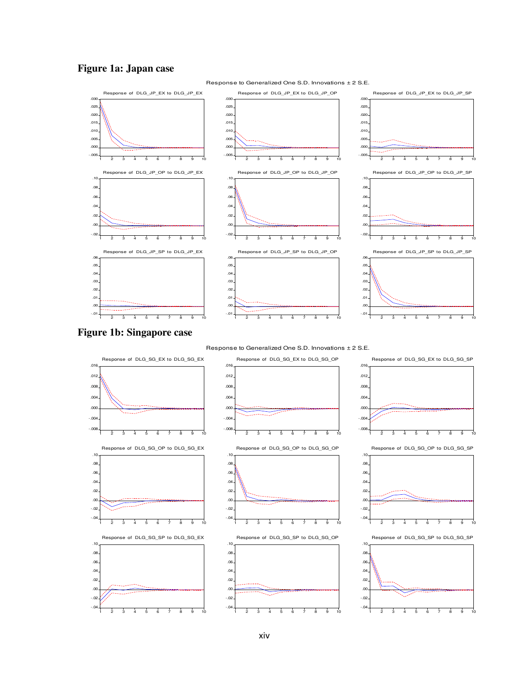### **Figure 1a: Japan case**



xiv